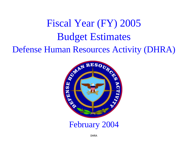# Fiscal Year (FY) 2005 Budget Estimates Defense Human Resources Activity (DHRA)



February 2004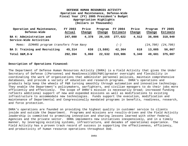| Operation and Maintenance,<br>Defense-Wide          | FY 2003<br>Actual | Price<br>Change | Program<br>Change | FY 2004<br>Estimate | Price<br>Change | Program<br>Change | <b>FY 2005</b><br>Estimate |
|-----------------------------------------------------|-------------------|-----------------|-------------------|---------------------|-----------------|-------------------|----------------------------|
| BA 4: Administration and<br>Service-Wide Activities | 247,080           | 4,378           | 26,165            | 277,622             | 4,512           | 36,806            | 318,940                    |
| DIMHRS program transfers from Navy<br>Memo:         |                   |                 |                   | $(-)$               |                 | (24, 700)         | (24, 700)                  |
| BA 3: Training and Recruiting                       | 45,314            | 638             | (3,588)           | 42,364              | 618             | 13,085            | 56,067                     |
| Total O&M, D-W                                      | 292,394           | 5,060           | 22,532            | 319,986             | 5,340           | 49,681            | 375,007                    |

#### **Description of Operations Financed:**

The Department of Defense Human Resources Activity (DHRA) is a Field Activity that gives the Under Secretary of Defense ((Personnel and Readiness)(USD(P&R))greater oversight and flexibility in coordinating the work of organizations that administer personnel policies, maintain comprehensive databases, and provide a variety of education and research programs. DHRA's operations and products help keep the wheels of P&R turning smoothly through automation and innovative technology. They enable the Department's policymakers, warfighters, and civilian managers to do their jobs more efficiently and effectively. The scope of DHRA's mission is necessarily broad; increased funding reflects additional support of new and expanded missions as well as modifications to existing infrastructure to accommodate new technologies. Funds support the execution, modification and maintenance of Departmental and Congressionally mandated programs in benefits, readiness, research, and force protection.

DHRA's operations are founded on providing the highest quality in customer service to clients inside and outside the Department. Programs and missions are results-driven and the Field Activity leadership is committed to promoting innovation and sharing lessons learned with other Federal Agencies and the private sector. DHRA implements new initiatives inexpensively, and in a timely manner, by leveraging existing systems, infrastructure, and decades of operational experience. The Field Activity has a proven track record of success in supporting the effectiveness, efficiency, and productivity of human resource operations throughout DoD.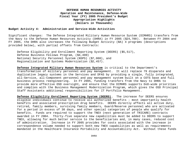#### **Budget Activity 4: Administration and Service-Wide Activities**

Significant changes: The Defense Integrated Military Human Resource System (DIMHRS) transfers from the Navy to the Defense Human Resources Activity (DHRA) in FY 2005 (\$24,700). Between FY 2004 and FY 2005, the DHRA also increases the following Budget Activity (BA) 4 programs (descriptions provided below), with partial offsets from Contracts:

Defense Eligibility and Enrollment Reporting System (DEERS) (\$5,517), Defense Business Fellows Program, (\$4,400) National Security Personnel System (NSPS) (\$7,000), and Regionalization and Systems Modernization (\$2,457).

**Defense Integrated Military Human Resources System** is critical to the Department's transformation of military personnel and pay management. It will replace 79 disparate and duplicative legacy systems in the Services and DFAS by providing a single, fully integrated, all-Service, all-Component personnel and pay management system built on a COTS base and full business process reengineering. In FY 2005, funding transfers from the Navy to DHRA to provide more effective OSD oversight, and ensure that the DIMHRS supports DoD-wide priorities and complies with the Business Management Modernization Program, which gives the OSD Principal Staff Assistants additional responsibilities for IT Portfolio Management.

**Defense Eligibility Enrollment Reporting System (DEERS).** The increase for DEERS ensures eligible individuals continue to receive all authorized benefits – most importantly health benefits and associated prescription drug benefits. DEERS directly affects all active duty, retired, family members, surviving family members, Guard/Reserve personnel who are activated for a period in excess of 30 days, and other special categories of people who qualify for benefits. Funds are required to support the TNEX (next generation of TRICARE) contracts awarded in FY 2004. Thirty-five separate new capabilities must be added to DEERS to support TNEX, allowing for much better service to the beneficiaries and, in many cases, reduced cost of administration. Increase in FY 2005 provides for costs associated with the increase in correspondence volume needed to support both new TNEX capabilities as well as requirements mandated in the Healthcare Insurance Portability and Accountability Act. Without these funds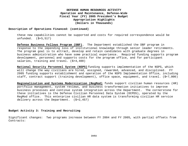#### **Description of Operations Financed: (continued)**

these new capabilities cannot be supported and costs for required correspondence would be unfunded. (\$+5,517)

**Defense Business Fellows Program (DBF).** The Department established the DBF program in response to the impending loss of institutional knowledge through senior leader retirements. The program goal is to attract, develop and retain candidates with graduate degrees in business administration who have some practical experience. Required funding supports program development, personnel and supports costs for the program office, and for participant salaries, training and travel. (\$+4,400)

**National Security Personnel System (NSPS)** funding supports implementation of the NSPS, which will change the way civilians are hired, assigned, rewarded, advanced, and disciplined. FY 2005 funding supports establishment and operation of the NSPS Implementation Office, including staff, contract support (training development), office space, equipment, and travel. (\$+7,000)

**Regionalization and Systems Modernization (RegMod)** funds support civilian human resources (HR) portfolio management, system reviews, and business transformation initiatives to improve business processes and continue system integration across the Department. The cornerstone for these initiatives is the Defense Civilian Personnel Data System (DCPDS), operated by the RegMod office. This enterprise civilian HR data system is transforming civilian HR service delivery across the Department. (\$+2,457)

## **Budget Activity 3: Training and Recruiting**

Significant changes: Two programs increase between FY 2004 and FY 2005, with partial offsets from Contracts: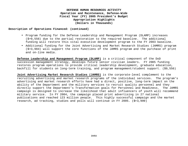#### **Description of Operations Financed: (continued)**

- Program funding for the Defense Leadership and Management Program (DLAMP) increases (\$+9,556) due to the partial restoration to the required baseline. The additional funding will restore this vital executive development program to the FY 2003 baseline.
- Additional funding for the Joint Advertising and Market Research Studies (JAMRS) program (\$+3,984) will support the core functions of the JAMRS program and the purchase of print and on-line media.

**Defense Leadership and Management Program (DLAMP)** is a critical component of the DoD succession management strategy, develops future senior civilian leaders. FY 2005 funding restores program operations to provide critical leadership development, graduate education, backfill for students on long-term training, and program management/student support. (\$9,556)

**Joint Advertising Market Research Studies (JAMRS)** is the corporate-level complement to the recruiting advertising and market research programs of the individual services. The program's advertising and market research efforts have had a direct, positive, long-term impact on the ability of the Department and the military services to recruit quality personnel and they directly support the Department's Transformation goals for Personnel and Readiness. The JAMRS campaign is designed to increase the likelihood that adult influencers of youth will recommend military service. In FY 2004, the campaign placed print advertising in 27 national publications and reached 123 million people. This highly successful campaign and the market research, ad tracking, studies and polls will continue in FY 2005. (\$+3,909)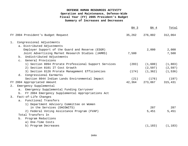# **DEFENSE HUMAN RESOURCES ACTIVITY Operation and Maintenance, Defense-Wide Fiscal Year (FY) 2005 President's Budget Summary of Increases and Decreases**

|                                                         | BA 3   | BA 4     | Total    |
|---------------------------------------------------------|--------|----------|----------|
| FY 2004 President's Budget Request                      | 35,262 | 276,802  | 312,064  |
| Congressional Adjustments<br>1.                         |        |          |          |
| a. Distributed Adjustments                              |        |          |          |
| Employer Support of the Guard and Reserve (ESGR)        |        | 2,000    | 2,000    |
| Joint Advertising Market Research Studies (JAMRS)       | 7,500  |          | 7,500    |
| b. Undistributed Adjustments                            |        |          |          |
| General Provisions<br>$\mathsf{C}$ .                    |        |          |          |
| 1) Section 8094 Prorate Professional Support Services   | (203)  | (1,600)  | (1, 803) |
| 2) Section 8101 IT Cost Growth                          |        | (2, 597) | (2, 597) |
| 3) Section 8126 Prorate Management Efficiencies         | (174)  | (1, 362) | (1, 536) |
| d. Congressional Earmarks                               |        |          |          |
| Section 8044 Indian Lands Environmental Impact          | (21)   | (176)    | (197)    |
| FY 2004 Appropriated Amount                             | 42,364 | 273,067  | 315,431  |
| Emergency Supplemental<br>2.                            |        |          |          |
| Emergency Supplemental Funding Carryover<br>a.          |        |          |          |
| FY 2004 Emergency Supplemental Appropriations Act<br>b. |        |          |          |
| Fact-of-Life Changes<br>3.                              |        |          |          |
| a. Functional Transfers                                 |        |          |          |
| 1) Department Advisory Committee on Women               |        |          |          |
| in the Services (DACOWITS)                              |        | 287      | 287      |
| 2) Federal Voting Assistance Program (FVAP)             |        | 5,451    | 5,451    |
| Total Transfers In                                      |        |          |          |
| b. Program Reductions                                   |        |          |          |
| a) One-Time Costs                                       |        |          |          |
| b) Program Decreases                                    |        | (1, 183) | (1, 183) |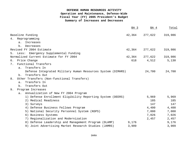# **DEFENSE HUMAN RESOURCES ACTIVITY Operation and Maintenance, Defense-Wide Fiscal Year (FY) 2005 President's Budget Summary of Increases and Decreases**

|                                                             | BA 3   | BA 4    | Total   |
|-------------------------------------------------------------|--------|---------|---------|
| Baseline Funding                                            | 42,364 | 277,622 | 319,986 |
| 4. Reprogramming                                            |        |         |         |
| Increases<br>$a$ .                                          |        |         |         |
| Decreases<br>b.                                             |        |         |         |
| Revised FY 2004 Estimate                                    | 42,364 | 277,622 | 319,986 |
| Emergency Supplemental Funding<br>5. Less:                  |        |         |         |
| Normalized Current Estimate for FY 2004                     | 42,364 | 277,622 | 319,986 |
| 6. Price Change                                             | 618    | 4,512   | 5,130   |
| Functional Transfers<br>7.                                  |        |         |         |
| Transfers In<br>a.                                          |        |         |         |
| Defense Integrated Military Human Resources System (DIMHRS) |        | 24,700  | 24,700  |
| Transfers Out<br>b.                                         |        |         |         |
| Other Transfers (Non-functional Transfers)<br>8.            |        |         |         |
| Transfers In<br>$a$ .                                       |        |         |         |
| Transfers Out<br>b.                                         |        |         |         |
| Program Increases<br>9.                                     |        |         |         |
| Annualization of New FY 2004 Program<br>$a$ .               |        |         |         |
| 1) Defense Enrollment Eligibility Reporting System (DEERS)  |        | 5,969   | 5,969   |
| 2) Medical Readiness                                        |        | 185     | 185     |
| 3) Surveys                                                  |        | 147     | 147     |
| 4) Defense Business Fellows Program                         |        | 4,400   | 4,400   |
| 5) National Security Personnel System (NSPS)                |        | 7,000   | 7,000   |
| 6) Business Systems                                         |        | 7,026   | 7,026   |
| 7) Regionalization and Modernization                        |        | 2,457   | 2,457   |
| 8) Defense Leadership and Management Program (DLAMP)        | 9,176  |         | 9,176   |
| 9) Joint Advertising Market Research Studies (JAMRS)        | 3,909  |         | 3,909   |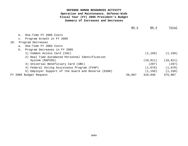# **DEFENSE HUMAN RESOURCES ACTIVITY Operation and Maintenance, Defense-Wide Fiscal Year (FY) 2005 President's Budget Summary of Increases and Decreases**

|     |                |                                                     | BA <sub>3</sub> | BA 4      | Total     |
|-----|----------------|-----------------------------------------------------|-----------------|-----------|-----------|
|     | b.             | One-Time FY 2005 Costs                              |                 |           |           |
|     | $\mathsf{C}$ . | Program Growth in FY 2005                           |                 |           |           |
| 10. |                | Program Decreases                                   |                 |           |           |
|     | $a$ .          | One-Time FY 2004 Costs                              |                 |           |           |
|     | b.             | Program Decreases in FY 2005                        |                 |           |           |
|     |                | 1) Common Access Card (CAC)                         |                 | (1, 150)  | (1, 150)  |
|     |                | 2) Real Time Automated Personnel Identification     |                 |           |           |
|     |                | System (RAPIDS)                                     |                 | (10, 811) | (10, 811) |
|     |                | 3) Universal Beneficiary Card (UBC)                 |                 | (297)     | (297)     |
|     |                | 4) Federal Voting Assistance Program (FVAP)         |                 | (1,670)   | (1,670)   |
|     |                | 5) Employer Support of the Guard and Reserve (ESGR) |                 | (1, 150)  | (1, 150)  |
|     |                | FY 2005 Budget Request                              | 56,067          | 318,940   | 375,007   |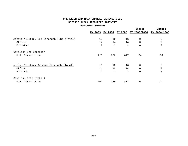# **OPERATION AND MAINTENANCE, DEFENSE-WIDE DEFENSE HUMAN RESOURCES ACTIVITY**

#### **PERSONNEL SUMMARY**

|                                              |                |     |                        | Change       | Change       |
|----------------------------------------------|----------------|-----|------------------------|--------------|--------------|
|                                              | <u>FY 2003</u> |     | <u>FY 2004 FY 2005</u> | FY 2003/2004 | FY 2004/2005 |
| Active Military End Strength (ES)<br>(Total) | 16             | 16  | 16                     | 0            |              |
| Officer                                      | 14             | 14  | 14                     | $\mathbf 0$  |              |
| Enlisted                                     | 2              | 2   | 2                      | 0            | $\Omega$     |
| Civilian End Strength                        |                |     |                        |              |              |
| U.S. Direct Hire                             | 725            | 809 | 827                    | 84           | 18           |
| Active Military Average Strength (Total)     | 16             | 16  | 16                     | 0            |              |
| Officer                                      | 14             | 14  | 14                     | $\Omega$     |              |
| Enlisted                                     | $\overline{2}$ | 2   | 2                      | $\mathbf 0$  | $\Omega$     |
| Civilian FTES (Total)                        |                |     |                        |              |              |
| U.S. Direct Hire                             | 702            | 786 | 807                    | 84           | 21           |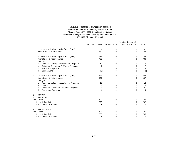#### **FY 2003 Through FY 2005 CIVILIAN PERSONNEL MANAGEMENT SERVICE Operation and Maintenance, Defense-Wide Fiscal Year (FY) 2005 President's Budget Manpower Changes in Full-Time Equivalents (FTEs)**

|                                                    | US Direct Hire Direct Hire |          | Foreign National<br>Indirect Hire | Total          |
|----------------------------------------------------|----------------------------|----------|-----------------------------------|----------------|
| FY 2003 Full Time Equivalent (FTE)<br>1.           | 702                        | 0        | $\Omega$                          | 702            |
| Operation & Maintenance                            | 702                        | $\Omega$ | $\Omega$                          | 702            |
| FY 2004 Full Time Equivalent (FTE)<br>2.           | 786                        | $\Omega$ | 0                                 | 786            |
| Operation & Maintenance<br>Changes:                | 786                        | $\Omega$ | $\Omega$                          | 786            |
| Federal Voting Assistance Program<br>$a$ .         | 13                         | $\Omega$ | $\Omega$                          | 13             |
| Defense Business Fellows Program<br>b.             | 7                          | $\Omega$ | $\Omega$                          | 7              |
| Business Systems<br>$\mathbf{c}$ .                 | $\overline{4}$             | $\Omega$ | $\Omega$                          | $\overline{4}$ |
| Operations<br>d.                                   | (3)                        | 0        | 0                                 | (3)            |
| FY 2005 Full Time Equivalent (FTE)<br>3.           | 807                        | $\Omega$ | 0                                 | 807            |
| Operation & Maintenance<br>Changes:                | 807                        | $\Omega$ | $\Omega$                          | 807            |
| Federal Voting Assistance Program<br>$a$ .         | 13                         | $\Omega$ | 0                                 | 13             |
| <b>DEERS</b><br>b.                                 | 3                          | $\Omega$ | $\Omega$                          | 3              |
| Defense Business Fellows Program<br>$\mathsf{C}$ . | 25                         | $\Omega$ | $\Omega$                          | 2.5            |
| d.<br>Business Systems                             | 4                          | $\Omega$ | $\Omega$                          | 4              |
| SUMMARY<br>5.<br>FY 2003 ACTUAL                    |                            |          |                                   |                |
| O&M Total                                          | 702                        | 0        | $\Omega$                          | 702            |
| Direct Funded                                      | 702                        | 0        | 0                                 | 702            |
| Reimbursable Funded                                | 0                          | $\Omega$ | $\Omega$                          | $\Omega$       |
| FY 2004 ESTIMATE                                   |                            |          |                                   |                |
| O&M Total                                          | 786                        | 0        | $\Omega$                          | 786            |
| Direct Funded                                      | 786                        | $\Omega$ | $\Omega$                          | 786            |
| Reimbursable Funded                                | $\Omega$                   | $\Omega$ | $\Omega$                          | $\Omega$       |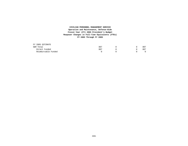#### **FY 2003 Through FY 2005 CIVILIAN PERSONNEL MANAGEMENT SERVICE Operation and Maintenance, Defense-Wide Fiscal Year (FY) 2005 President's Budget Manpower Changes in Full-Time Equivalents (FTEs)**

| FY 2005 ESTIMATE    |     |  |     |
|---------------------|-----|--|-----|
| O&M Total           | 807 |  | 807 |
| Direct Funded       | 807 |  | 807 |
| Reimbursable Funded |     |  |     |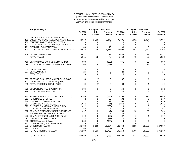#### DEFENSE HUMAN RESOURCES ACTIVITY Operation and Maintenance, Defense-Wide FISCAL YEAR (FY) 2005 President's Budget Summary of Price and Program Changes

|     | <b>Budget Activity 4</b>                  | <b>Change FY 2003/2004</b><br><b>Change FY 2004/2005</b> |                |                |                 |                |                |                 |
|-----|-------------------------------------------|----------------------------------------------------------|----------------|----------------|-----------------|----------------|----------------|-----------------|
|     |                                           | FY 2003                                                  | <b>Price</b>   | Program        | FY 2004         | <b>Price</b>   | Program        | FY 2005         |
|     |                                           | <b>Actual</b>                                            | Growth         | Growth         | <b>Estimate</b> | Growth         | Growth         | <b>Estimate</b> |
|     | CIVILIAN PERSONNEL COMPENSATION           |                                                          |                |                |                 |                |                |                 |
|     | 101 EXECUTIVE, GENERAL & SPECIAL SCHEDULE | 64,550                                                   | 2,005          | 6,446          | 73,001          | 1,661          | 1,434          | 76,096          |
|     | 106 BENEFITS TO FORMER EMPLOYEES          | 0                                                        | 0              | 0              | 0               | 0              | $\Omega$       | 0               |
|     | 107 VOLUNTARY SEPARATION INCENTIVE PAY    | $\mathbf 0$                                              | $\mathbf 0$    | $\Omega$       | $\mathbf 0$     | 0              | $\mathbf 0$    | $\mathbf 0$     |
| 111 | <b>DISABILITY COMPENSATION</b>            | 83                                                       | 0              | 15             | 98              | 0              | 8              | 106             |
|     | 199 TOTAL CIVILIAN PERSONNEL COMPENSATION | 64,633                                                   | 2,005          | 6,461          | 73,099          | 1,661          | 1,442          | 76,202          |
|     | 308 TRAVEL OF PERSONS                     | 5,511                                                    | 72             | 76             | 5,659           | 79             | 85             | 5,823           |
|     | <b>TOTAL TRAVEL</b>                       | 5,511                                                    | 72             | 76             | 5,659           | 79             | 85             | 5,823           |
|     | 416 GSA MANAGED SUPPLIES & MATERIALS      | 503                                                      | 7              | (139)          | 371             | 5              | 22             | 398             |
|     | 499 TOTAL FUND SUPPLIES & MATERIALS PURCH | 503                                                      | 8              | (139)          | 371             | 5              | 22             | 398             |
|     | 506 DLA EQUIPMENT                         | 4                                                        | 0              | 0              | 4               | 0              | $\mathbf 0$    | $\overline{4}$  |
|     | 507 GSA EQUIPMENT                         | 24                                                       | 0              | 0              | 24              | $\mathbf{0}$   | $\Omega$       | 24              |
|     | <b>TOTAL EQUIP</b>                        | 28                                                       | $\Omega$       | 0              | 28              | 0              | 0              | 28              |
|     | 633 DEFENSE PUBLICATION & PRINTING SVCS   | 68                                                       | (1)            | 0              | 67              | 0              | $\mathbf 1$    | 68              |
|     | 671 COMMUNICATION SERVICES (DISA)         | $\mathbf{1}$                                             | $\Omega$       | 0              | $\mathbf{1}$    | $\mathbf{0}$   | $\mathbf 0$    | $\overline{1}$  |
|     | 699 TOTAL OTHER FUND PUCHASES             | 69                                                       | (1)            | $\Omega$       | 68              | $\Omega$       | $\mathbf{1}$   | 69              |
| 771 | <b>COMMERCIAL TRANSPORTATION</b>          | 136                                                      | 1              | $\overline{7}$ | 144             | 2              | 6              | 152             |
|     | 799 TOTAL TRANSPORTATION                  | 136                                                      | $\mathbf{1}$   | $\overline{7}$ | 144             | $\overline{2}$ | 6              | 152             |
|     | 912 RENTAL PAYMENTS TO GSA LEASES (SLUC)  | 3,780                                                    | 64             | (136)          | 3,708           | 56             | 124            | 3,888           |
|     | 913 PURCHASED UTILITIES                   | 72                                                       | $\mathbf{1}$   | 59             | 132             | 2              | 6              | 140             |
|     | 914 PURCHASED COMMUNCIATIONS              | 2,311                                                    | 30             | 12             | 2,353           | 33             | 70             | 2,456           |
|     | 917 POSTAL SERVICE (U.S.P.S.)             | 1,044                                                    | 0              | (4)            | 1,040           | 0              | $\mathbf 1$    | 1,041           |
|     | 920 SUPPLIES & MATERIALS (NON-FUND)       | 612                                                      | 8              | (620)          | 0               | $\mathbf 0$    | $\mathbf 0$    | 0               |
|     | 921 PRINTING & REPRODUCTION               | 58                                                       | 1              | 4              | 63              | $\mathbf{1}$   | $\overline{1}$ | 65              |
|     | 922 EQUIPMENT MAINTENANCE BY CONTRACT     | 697                                                      | 9              | (1)            | 705             | 10             | 39             | 754             |
|     | 923 FACILITY MAINTENANCE BY CONTRACT      | 37                                                       | 0              | 1              | 38              | 1              | $\mathbf 0$    | 39              |
|     | 925 EQUIPMENT PURCHASES (NON-FUND)        | 140                                                      | $\overline{2}$ | (35)           | 107             | 1              | $\mathbf 1$    | 109             |
|     | 931 CONTRACT CONSULTANTS                  | 18                                                       | 0              | (18)           | 0               | 0              | $\mathbf 0$    | 0               |
|     | 933 STUDIES, ANAL, & EVAL                 | 330                                                      | 5              | (335)          | 0               | 0              | $\mathbf 0$    | $\mathbf 0$     |
|     | 987 OTHER INTER GOVT PURCHASES            | 0                                                        | $\Omega$       | $\Omega$       |                 | $\Omega$       | $\Omega$       |                 |
|     | 989 OTHER CONTRACTS                       | 166,738                                                  | 2,168          | 21,034         | 189,940         | 2,659          | 35,000         | 227,599         |
|     | 998 OTHER COSTS                           | 363                                                      | 5              | (201)          | 167             | $\overline{2}$ | 8              | 177             |
|     | 999 TOTAL OTHER PURCHASES                 | 176,200                                                  | 2,293          | 19,760         | 198,253         | 2,765          | 35,250         | 236,268         |
|     | <b>TOTAL DHRA BA4</b>                     | 247.080                                                  | 4.378          | 26.165         | 277.622         | 4.512          | 36.806         | 318.940         |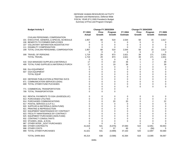#### DEFENSE HUMAN RESOURCES ACTIVITY Operation and Maintenance, Defense-Wide FISCAL YEAR (FY) 2005 President's Budget Summary of Price and Program Changes

|     | <b>Budget Activity 3</b>                  | <b>Change FY 2003/2004</b> |               |               | <b>Change FY 2004/2005</b> |              |                |                 |
|-----|-------------------------------------------|----------------------------|---------------|---------------|----------------------------|--------------|----------------|-----------------|
|     |                                           | FY 2003                    | <b>Price</b>  | Program       | FY 2004                    | <b>Price</b> | Program        | FY 2005         |
|     |                                           | <b>Actual</b>              | <b>Growth</b> | <b>Growth</b> | <b>Estimate</b>            | Growth       | Growth         | <b>Estimate</b> |
|     | CIVILIAN PERSONNEL COMPENSATION           |                            |               |               |                            |              |                |                 |
|     | 101 EXECUTIVE, GENERAL & SPECIAL SCHEDULE | 1,957                      | 68            | 519           | 2,544                      | 58           | 15             | 2,617           |
|     | 106 BENEFITS TO FORMER EMPLOYEES          | 0                          | 0             | 0             | 0                          | 0            | 0              | 0               |
|     | 107 VOLUNTARY SEPARATION INCENTIVE PAY    | 0                          | 0             | 0             | 0                          | 0            | 0              | 0               |
| 111 | <b>DISABILITY COMPENSATION</b>            | $\Omega$                   | $\mathbf 0$   | $\mathbf 0$   | $\Omega$                   | $\Omega$     | $\mathbf 0$    | $\Omega$        |
|     | 199 TOTAL CIVILIAN PERSONNEL COMPENSATION | 1,957                      | 68            | 519           | 2,544                      | 58           | 15             | 2,617           |
|     |                                           | 0                          | 0             | 0             | 0                          | 0            | $\mathbf 0$    | 0               |
|     | 308 TRAVEL OF PERSONS                     | 1,719                      | 29            | 873           | 2,621                      | 39           | 171            | 2,831           |
|     | <b>TOTAL TRAVEL</b>                       | 1,719                      | 29            | 873           | 2,621                      | 39           | 171            | 2,831           |
|     |                                           | 0                          | $\mathbf 0$   | $\mathbf 0$   | 0                          | 0            | 0              | 0               |
|     | 416 GSA MANAGED SUPPLIES & MATERIALS      | 17                         | 0             | 19            | 36                         | 1            | 2              | 39              |
|     | 499 TOTAL FUND SUPPLIES & MATERIALS PURCH | 17                         | 0             | 19            | 36                         | 1            | $\overline{c}$ | 39              |
|     |                                           | $\mathbf 0$                | 0             | $\mathbf 0$   | 0                          | $\Omega$     | $\Omega$       | $\mathbf 0$     |
|     | 506 DLA EQUIPMENT                         | 0                          | 0             | 0             | $\mathbf 0$                | 0            | $\mathbf 0$    | $\mathbf 0$     |
|     | 507 GSA EQUIPMENT                         | 0                          | 0             | $\mathbf 0$   | $\mathbf 0$                | 0            | $\mathbf 0$    | $\mathbf 0$     |
|     | <b>TOTAL EQUIP</b>                        | 0                          | 0             | $\Omega$      | $\mathbf 0$                | 0            | $\Omega$       | $\mathbf 0$     |
|     |                                           | 0                          | 0             | $\mathbf 0$   | $\mathbf 0$                | 0            | $\mathbf 0$    | $\mathbf 0$     |
|     | 633 DEFENSE PUBLICATION & PRINTING SVCS   | 0                          | 0             | 0             | 0                          | 0            | $\mathbf 0$    | $\mathbf 0$     |
|     | 671 COMMUNICATION SERVICES (DISA)         | 0                          | 0             | $\Omega$      | 0                          | $\Omega$     | $\Omega$       | 0               |
|     | 699 TOTAL OTHER FUND PUCHASES             | 0                          | 0             | $\Omega$      | 0                          | $\Omega$     | $\Omega$       | $\mathbf 0$     |
|     |                                           | 0                          | 0             | $\mathbf 0$   | 0                          | 0            | $\mathbf 0$    | $\mathbf 0$     |
| 771 | <b>COMMERCIAL TRANSPORTATION</b>          | 0                          | 0             | $\mathbf 0$   |                            |              |                |                 |
|     | 799 TOTAL TRANSPORTATION                  | $\Omega$                   | $\Omega$      | $\Omega$      |                            |              |                |                 |
|     |                                           |                            |               |               |                            |              |                |                 |
|     | 912 RENTAL PAYMENTS TO GSA LEASES (SLUC)  | 0                          | 0             | $\mathbf 0$   | 0                          | 0            | 0              | 0               |
|     | 913 PURCHASED UTILITIES                   | 0                          | 0             | $\Omega$      | $\Omega$                   | $\Omega$     | $\mathbf 0$    | $\mathbf 0$     |
|     | 914 PURCHASED COMMUNCIATIONS              | $\Omega$                   | 0             | 20            | 20                         | 0            | $\overline{c}$ | 22              |
|     | 917 POSTAL SERVICE (U.S.P.S.)             | 0                          | 0             | $\mathbf 0$   | 0                          | 0            | $\mathbf 0$    | 0               |
|     | 920 SUPPLIES & MATERIALS (NON-FUND)       | 0                          | 0             | $\Omega$      | $\Omega$                   | $\Omega$     | $\Omega$       | $\mathbf 0$     |
|     | 921 PRINTING & REPRODUCTION               | 0                          | 0             | $\mathbf 0$   | $\mathbf 0$                | 0            | $\mathbf 0$    | $\mathbf 0$     |
|     | 922 EQUIPMENT MAINTENANCE BY CONTRACT     | 0                          | 0             | $\mathbf 0$   | 0                          | 0            | $\mathbf 0$    | 0               |
|     | 923 FACILITY MAINTENANCE BY CONTRACT      | 0                          | 0             | $\Omega$      | $\mathbf 0$                | $\Omega$     | $\Omega$       | $\mathbf 0$     |
|     | 925 EQUIPMENT PURCHASES (NON-FUND)        | 0                          | 0             | $\Omega$      | $\mathbf 0$                | 0            | $\Omega$       | $\mathbf 0$     |
|     | 932 CONTRACT CONSULTANTS                  | $\Omega$                   | 0             | $\Omega$      | 0                          | 0            | 0              | $\mathbf 0$     |
|     | 933 STUDIES, ANAL, & EVAL                 | 0                          | $\Omega$      | $\Omega$      | $\Omega$                   | $\Omega$     | $\Omega$       | $\Omega$        |
|     | 987 OTHER INTER _GOVT PURCHASES           | $\Omega$                   | $\mathbf 0$   | $\Omega$      |                            | 0            | $\Omega$       |                 |
|     | 989 OTHER CONTRACTS                       | 41,618                     | 541           | (5,076)       | 37,083                     | 519          | 12,951         | 50,553          |
|     | 998 OTHER COSTS                           | 3                          | $\Omega$      | 57            | 60                         | $\mathbf{1}$ | (56)           |                 |
|     | 999 TOTAL OTHER PURCHASES                 | 41,621                     | 541           | (4,999)       | 37,163                     | 520          | 12,897         | 50,580          |
|     |                                           |                            |               |               |                            |              |                |                 |
|     | TOTAL DHRA BA3                            | 45.314                     | 638           | (3,588)       | 42.364                     | 618          | 13.085         | 56.067          |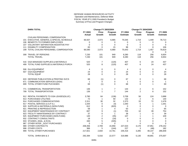#### DEFENSE HUMAN RESOURCES ACTIVITY Operation and Maintenance, Defense-Wide FISCAL YEAR (FY) 2005 President's Budget Summary of Price and Program Changes

|     | <b>DHRA TOTAL</b>                         | <b>Change FY 2003/2004</b> |                |                | <b>Change FY 2004/2005</b> |                |              |                 |
|-----|-------------------------------------------|----------------------------|----------------|----------------|----------------------------|----------------|--------------|-----------------|
|     |                                           | FY 2003                    | Price          | Program        | FY 2004                    | <b>Price</b>   | Program      | FY 2005         |
|     |                                           | <b>Actual</b>              | Growth         | Growth         | <b>Estimate</b>            | Growth         | Growth       | <b>Estimate</b> |
|     | CIVILIAN PERSONNEL COMPENSATION           |                            |                |                |                            |                |              |                 |
|     | 101 EXECUTIVE, GENERAL & SPECIAL SCHEDULE | 66,507                     | 2,073          | 6,965          | 75,545                     | 1,719          | 1,449        | 78,713          |
|     | 106 BENEFITS TO FORMER EMPLOYEES          | 0                          | 0              | 0              | 0                          | 0              | 0            | 0               |
|     | 107 VOLUNTARY SEPARATION INCENTIVE PAY    | $\mathbf 0$                | $\mathbf 0$    | $\mathbf 0$    | $\mathbf 0$                | $\mathbf 0$    | $\mathbf 0$  | $\mathbf 0$     |
| 111 | <b>DISABILITY COMPENSATION</b>            | 83                         | 0              | 15             | 98                         | $\mathbf 0$    | 8            | 106             |
|     | 199 TOTAL CIVILIAN PERSONNEL COMPENSATION | 66,590                     | 2,073          | 6,980          | 75,643                     | 1,719          | 1,457        | 78,819          |
|     |                                           |                            |                |                |                            |                | 0            | $\Omega$        |
|     | 308 TRAVEL OF PERSONS                     | 7,230                      | 101            | 949            | 8,280                      | 118            | 256          | 8,654           |
|     | <b>TOTAL TRAVEL</b>                       | 7,230                      | 101            | 949            | 8,280                      | 118            | 256          | 8,654           |
|     |                                           |                            |                |                |                            |                |              |                 |
|     | 416 GSA MANAGED SUPPLIES & MATERIALS      | 520                        | 7              | (120)          | 407                        | 6              | 24           | 437             |
|     | 499 TOTAL FUND SUPPLIES & MATERIALS PURCH | 520                        | 8              | (120)          | 407                        | 6              | 24           | 437             |
|     |                                           |                            |                |                |                            |                |              |                 |
|     | 506 DLA EQUIPMENT                         | 4                          | 0              | 0              | 4                          | 0              | $\mathbf 0$  | $\overline{4}$  |
|     | 507 GSA EQUIPMENT                         | 24                         | $\Omega$       | 0              | 24                         | $\mathbf 0$    | $\Omega$     | 24              |
|     | <b>TOTAL EQUIP</b>                        | 28                         | $\Omega$       | 0              | 28                         | $\Omega$       | $\Omega$     | 28              |
|     |                                           |                            |                |                |                            |                |              |                 |
|     | 633 DEFENSE PUBLICATION & PRINTING SVCS   | 68                         | (1)            | 0              | 67                         | 0              | 1            | 68              |
|     | 671 COMMUNICATION SERVICES (DISA)         | $\mathbf 1$                | $\Omega$       | 0              | $\mathbf{1}$               | $\mathbf 0$    | $\mathbf 0$  | $\overline{1}$  |
|     | 699 TOTAL OTHER FUND PUCHASES             | 69                         | (1)            | $\Omega$       | 68                         | $\Omega$       | $\mathbf{1}$ | 69              |
|     |                                           |                            |                |                |                            |                |              |                 |
| 771 | <b>COMMERCIAL TRANSPORTATION</b>          | 136                        | $\mathbf{1}$   | 7              | 144                        | 2              | 6            | 152             |
|     | 799 TOTAL TRANSPORTATION                  | 136                        | $\mathbf{1}$   | $\overline{7}$ | 144                        | 2              | 6            | 152             |
|     |                                           |                            |                |                |                            |                |              |                 |
|     | 912 RENTAL PAYMENTS TO GSA LEASES(SLUC)   | 3,780                      | 64             | (136)          | 3,708                      | 56             | 124          | 3,888           |
|     | 913 PURCHASED UTILITIES                   | 72                         | 1              | 59             | 132                        | $\overline{c}$ | 6            | 140             |
|     | 914 PURCHASED COMMUNCIATIONS              | 2,311                      | 30             | 32             | 2,373                      | 33             | 72           | 2,478           |
|     | 917 POSTAL SERVICE (U.S.P.S.)             | 1,044                      | 0              | (4)            | 1,040                      | $\mathbf 0$    | $\mathbf{1}$ | 1,041           |
|     | 920 SUPPLIES & MATERIALS (NON-FUND)       | 612                        | 8              | (620)          | 0                          | 0              | $\mathbf 0$  | 0               |
|     | 921 PRINTING & REPRODUCTION               | 58                         | 1              | 4              | 63                         | $\mathbf{1}$   | $\mathbf{1}$ | 65              |
|     | 922 EQUIPMENT MAINTENANCE BY CONTRACT     | 697                        | 9              | (1)            | 705                        | 10             | 39           | 754             |
|     | 923 FACILITY MAINTENANCE BY CONTRACT      | 37                         | 0              | -1             | 38                         | $\mathbf 1$    | $\Omega$     | 39              |
|     | 925 EQUIPMENT PURCHASES (NON-FUND)        | 140                        | $\overline{2}$ | (35)           | 107                        | 1              | $\mathbf{1}$ | 109             |
|     | 932 CONTRACT CONSULTANTS                  | 18                         | $\mathbf 0$    | (18)           | 0                          | $\mathbf 0$    | $\mathbf 0$  | $\mathbf 0$     |
|     | 933 STUDIES, ANAL, & EVAL                 | 330                        | 5              | (335)          | $\mathbf 0$                | $\mathbf 0$    | $\Omega$     | $\mathbf 0$     |
|     | 987 OTHER INTER _GOVT PURCHASES           | $\Omega$                   | $\Omega$       | $\Omega$       |                            | $\Omega$       | $\Omega$     | $\Omega$        |
|     | 989 OTHER CONTRACTS                       | 208,356                    | 2,709          | 15,958         | 227,023                    | 3,178          | 47,951       | 278,152         |
|     | 998 OTHER COSTS                           | 366                        | 5              | (144)          | 227                        | 3              | (48)         | 182             |
|     | 999 TOTAL OTHER PURCHASES                 | 217,821                    | 2,834          | 14,761         | 235,416                    | 3,285          | 48,147       | 286,848         |
|     |                                           |                            |                |                |                            |                | 0            |                 |
|     | TOTAL DHRA BA4 & 3                        | 292,394                    | 5,016          | 22,577         | 319,986                    | 5,130          | 49,891       | 375,007         |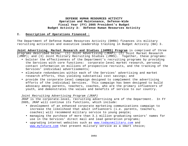## **I. Description of Operations Financed :**

The Department of Defense Human Resources Activity (DHRA) finances its military recruiting activities and executive leadership training in Budget Activity (BA) 3.

**Joint Advertising, Market Research and Studies (JAMRS) Program** is comprised of three programs described below: (1) Joint Advertising (JRAP); (2) Joint Market Research (JMRP); and (3) Joint Military Recruiting Studies (JMRS). Together, these programs:

- bolster the effectiveness of the Department's recruiting programs by providing the Services with core functions: corporate-level market research, personal contact information on millions of prospective recruits, and the tracking of the Services' individual advertisements;
- eliminate redundancies within each of the Services' advertising and market research efforts, thus yielding substantial cost savings; and
- provide the corporate-level campaign designed to complement the advertising efforts of the individual Services. This campaign has been designed to build advocacy among parents, teachers, coaches, who are the primary influencers of youth, and demonstrates the values and benefits of service to our country.

#### *Joint Recruiting Advertising Program (JRAP)*

JRAP is the corporate-level, recruiting advertising arm of the Department. In FY 2005, JRAP will continue its functions, which include:

- development of an enhanced corporate marketing communications campaign to increase the likelihood that adult influencers (i.e. parents, teachers, coaches) will recommend military service to young people;
- managing the purchase of more than 3.1 million graduating seniors' names for use in the Services' direct mail and lead generation programs;
- upgrading internet websites such as www.todaysmilitary.com and www.myfuture.com that present military service as a smart choice;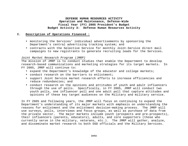## **I. Description of Operations Financed :**

- monitoring the Services' individual advertisements by sponsoring the Department's central advertising tracking system; and
- contracts with the Selective Service for monthly Joint-Service direct mail campaigns to new registrants to generate recruiting leads for the Services.

#### *Joint Market Research Program (JMRP)*

The mission of JMRP is to conduct studies that enable the Department to develop research-based communications and marketing strategies for its target markets. In FY 2005, JMRP will continue to:

- expand the Department's knowledge of the educator and college markets;
- conduct research on the barriers to enlistment;
- support Joint Service market research efforts to increase efficiencies and reduce redundancies; and
- conduct research on the opinions and attitudes of youth and adult influencers through the use of polls. Specifically, in FY 2005, JMRP will conduct two youth polls, one influencer poll and one adult poll that capture attitudes and opinions of these key target audiences on the Military and military service.

In FY 2005 and following years, the JMRP will focus on continuing to expand the Department's understanding of its major markets with emphasis on understanding the reasons for enlistment and the enlistment decision-making process. The JMRP will use surveys, polls, interviews and focus groups, as well as purchase of data from the private sector. The major markets include youth (prospects and pre-prospects), their influencers (parents, educators), adults, and core supporters (those who currently serve in the military, veterans, etc.). The JMRP will gather, analyze, and disseminate market research to both OSD officials and the Military Services.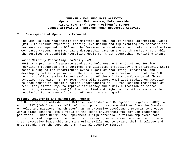## **I. Description of Operations Financed :**

The JMRP is also responsible for maintaining the Recruit Market Information System (RMIS) to include exploring, testing, evaluating and implementing new software and hardware as required by OSD and the Services to maintain an accurate, cost-effective web-based system. RMIS contains demographic data on the youth market that enable the Services to establish recruiting goals for their geographic recruiting areas.

#### *Joint Military Recruiting Studies (JMRS)*

JMRS is a program of separate studies to help ensure that Joint and Service recruiting resources and incentives are allocated effectively and efficiently while contributing to the Department's overall goal of recruiting, retaining, and developing military personnel. Recent efforts include re-evaluation of the DoD recruit quality benchmarks and evaluation of the military performance of "home schooled" recruits. In FY 2005, JMRS will support empirical studies on accessionrelated topics to obtain a better understanding of (1) the leading indicators of recruiting difficulty, to improve efficiency and timely allocation of scarce recruiting resources; and (2) the qualified and high-quality military-available population to improve allocation of recruiters and goals.

#### **Defense Leadership and Management Program**

The Department established the Defense Leadership and Management Program (DLAMP) in April 1997 (DoD Directive 1430.16), incorporating recommendations from the Commission on Roles and Missions (March 1995), as an executive development program to produce world-class leaders with a focus on the joint environment for key DoD leadership positions. Under DLAMP, the Department's high potential civilian employees take individualized programs of education and training experiences designed to optimize their executive leadership and managerial skills and to expand their knowledge and understanding of the Department's national security mission.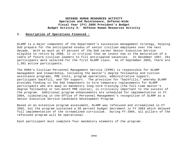## **I. Description of Operations Financed :**

DLAMP is a major component of the Department's succession management strategy, helping DoD prepare for the anticipated exodus of senior civilian employees over the next decade. With as much as 67 percent of the DoD career Senior Executive Service eligible to retire by 2008, it is critical that we invest now in the maturation of a cadre of future civilian leaders to fill anticipated vacancies. In December 1997, 291 participants were selected for the first DLAMP class. As of September 2003, there are 1,301 active participants.

The DHRA's Civilian Personnel Management Service (CPMS) is responsible for DLAMP management and stewardship, including the master's degree fellowship and tuition assistance programs, PME costs, program operations, administrative support, participant backfill, and TDY support. The provision for "backfills," whereby DLAMP provides funding to the DoD Components to hire temporary replacements for DLAMP participants who are away on mandatory long-term training (the full-time master's degree fellowship or ten-month PME course), is critically important to the success of the program. Additional program enhancements are scheduled for implementation in FY 2004, culminating in the Office of Personnel Management's recognition of DLAMP as a Senior Executive Service Candidate Development Program.

Based on an extensive program assessment, DLAMP was refocused and streamlined in FY 2002, but the program sustained a 50 percent budget decrement in FY 2003 which delayed full implementation of the streamlined curriculum. During FY 2004, all pillars of the refocused program will be operational.

Each participant must complete four mandatory elements of the program: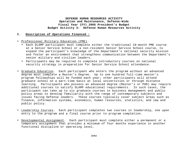## **I. Description of Operations Financed :**

- Professional Military Education (PME).
	- Each DLAMP participant must complete either the traditional 10-month PME course at a Senior Service School or a non-resident Senior Service School course, to expand the participant's knowledge of the Department's national security mission and foster an environment that strengthens communication between the Department's senior military and civilian leaders.
	- Participants may be required to complete introductory courses on national security strategy in preparation for Senior Service School attendance.
- Graduate Education. Each participant who enters the program without an advanced degree must complete a Master's Degree. Up to one hundred full-time master's program fellowships will be funded each year; other participants will attend graduate school on a part-time basis at local universities or through distance learning. Participants who possess an advanced degree (Master's or PHD) may require additional courses to satisfy DLAMP educational requirements. In such cases, the participant can take up to six graduate courses in business management and public policy areas to develop familiarity with the range of contemporary subjects and issues facing Defense leaders. These courses typically cover subject areas such as finance, information systems, economics, human resources, statistics, and law and public policy.
- Leadership Courses. Each participant completes two courses in leadership, one upon entry to the program and a final course prior to program completion.
- Developmental Assignment. Each participant must complete either a permanent or a temporary assignment that provides a minimum of four months experience in another functional discipline or operating level.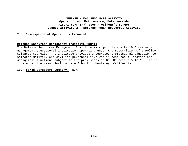## **I. Description of Operations Financed :**

#### **Defense Resources Management Institute (DRMI)**

The Defense Resources Management Institute is a jointly staffed DoD resource management educational institution operating under the supervision of a Policy Guidance Council. The Institute provides integrated professional education to selected military and civilian personnel involved in resource allocation and management functions subject to the provisions of DoD Directive 5010.16. It is located at the Naval Postgraduate School in Monterey, California.

#### **II. Force Structure Summary:** N/A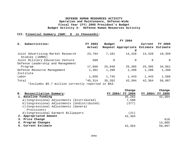## **III. Financial Summary (O&M: \$ in thousands):**

|                                                      | FY 2004   |               |                              |          |          |  |  |  |  |
|------------------------------------------------------|-----------|---------------|------------------------------|----------|----------|--|--|--|--|
| Subactivities:<br>А.                                 | FY 2003   | <b>Budget</b> |                              | Current  | FY 2005  |  |  |  |  |
|                                                      | Actual    |               | Request Appropriate Estimate |          | Estimate |  |  |  |  |
|                                                      |           |               | d                            |          |          |  |  |  |  |
| Joint Advertising Market Research<br>Studies (JAMRS) | 23,794    | 7,181         | 14,328                       | 14,328   | 18,359   |  |  |  |  |
| Joint Military Education Venture                     | 500       | $\Omega$      | $\Omega$                     | $\Omega$ | $\Omega$ |  |  |  |  |
| Defense Leadership and Management                    |           |               |                              |          |          |  |  |  |  |
| Program                                              | 17,860    | 25,048        | 25,305                       | 25,305   | 34,861   |  |  |  |  |
| Defense Resource Management                          | 1,301     | 1,288         | 1,288                        | 1,288    | 1,288    |  |  |  |  |
| Institute                                            |           |               |                              |          |          |  |  |  |  |
| Labor                                                | 1,859     | 1,745         | 1,443                        | 1,443    | 1,566    |  |  |  |  |
| Total                                                | $*45,314$ | 35,262        | 42,364                       | 42,364   | 56,067   |  |  |  |  |
| *Includes \$5.7 million correctly reported in BA3.   |           |               |                              |          |          |  |  |  |  |

**B. Change Change B.B. Reconciliation Summary: FY 2004/ FY 2004 FY 2004/ FY 2005 1. Baseline Funding 1. 1. 1. 2. 364** 35,262 42,364 a) Congressional Adjustments (Distributed) 7,500 b) Congressional Adjustments (Undistributed) (377) c) Congressional Adjustments (General Provisions) d) Congressional Earmark Billpayers (21) **2. Appropriated Amount** 42,364 **3. Price Change** 618 **4. Program Changes** 13,085 **5. Current Estimate** 5. 2017 12, 364 56,067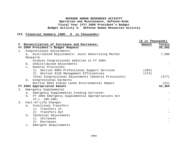# **III. Financial Summary (O&M: \$ in thousands):**

|    |                |                                                               | (\$ in Thousands) |        |
|----|----------------|---------------------------------------------------------------|-------------------|--------|
|    |                | C. Reconciliation of Increases and Decreases:                 | Amount            | Totals |
|    |                | FY 2004 President's Budget Request                            |                   | 35,262 |
| 1. |                | Congressional Adjustments                                     |                   |        |
|    | $a$ .          | Distributed Adjustments: Joint Advertising Market<br>Research |                   | 7,500  |
|    |                | Studies Congressional addition in FY 2004                     |                   |        |
|    |                | b. Undistributed Adjustments                                  |                   |        |
|    | $\mathbf{C}$ . | General Provisions                                            |                   |        |
|    |                | 1) Section 8094 Professional Support Services                 | (203)             |        |
|    |                | 2) Section 8126 Management Efficiencies                       | (174)             |        |
|    |                | Total Congressional Adjustments (General Provisions)          |                   | (377)  |
|    |                | d. Congressional Earmarks                                     |                   |        |
|    |                | Section 8044 Indian Lands Environmental Impact                |                   | (21)   |
|    |                | FY 2004 Appropriated Amount                                   |                   | 42,364 |
| 2. |                | Emergency Supplemental                                        |                   |        |
|    | а.             | Emergency Supplemental Funding Carryover                      |                   |        |
|    |                | b. FY 2004 Emergency Supplemental Appropriations Act          |                   |        |
|    |                | $(P.L. 108-106)$                                              |                   |        |
| 3. |                | Fact-of-Life Changes                                          |                   |        |
|    | a.             | Functional Transfers                                          |                   |        |
|    |                | 1) Transfers In                                               |                   |        |
|    |                | Transfers Out<br>2)                                           |                   |        |
|    |                | b. Technical Adjustments                                      |                   |        |
|    |                | 1) Increases                                                  |                   |        |
|    |                | 2)<br>Decreases                                               |                   |        |
|    |                | c. Emergent Requirements                                      |                   |        |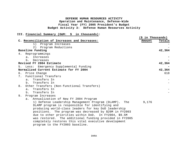# **III. Financial Summary (O&M: \$ in thousands):**

|                                                          | (\$ in Thousands) |        |
|----------------------------------------------------------|-------------------|--------|
| C. Reconciliation of Increases and Decreases:            | Amount            | Totals |
| 1)<br>Program Increases                                  |                   |        |
| 2)<br>Program Reductions                                 |                   |        |
| Baseline Funding                                         |                   | 42,364 |
| Reprogrammings<br>4.                                     |                   |        |
| Increases<br>$a$ .                                       |                   |        |
| h <sub>1</sub><br>Decreases                              |                   |        |
| Revised FY 2004 Estimate                                 |                   | 42,364 |
| Less: Emergency Supplemental Funding<br>5.               |                   |        |
| Normalized Current Estimate for FY 2004                  |                   | 42,364 |
| 6. Price Change                                          |                   | 618    |
| Functional Transfers<br>7.                               |                   |        |
| Transfers In<br>a <sub>z</sub>                           |                   |        |
| Transfers In<br>b.                                       |                   |        |
| Other Transfers (Non-functional Transfers)<br>8.         |                   |        |
| Transfers In<br>$a$ .                                    |                   |        |
| Transfers In<br>b.                                       |                   |        |
| 9.<br>Program Increases                                  |                   |        |
| Annualization of New FY 2004 Program<br>$a$ .            |                   |        |
| 1) Defense Leadership Management Program (DLAMP).<br>The | 9,176             |        |
| DLAMP program is responsible for identifying and         |                   |        |
| producing world-class leaders for key DoD leadership     |                   |        |
| positions. The program was decreased by \$20M in FY2003  |                   |        |
| due to other priorities within DoD. In FY2004, \$9.5M    |                   |        |
| was restored. The additional funding provided in FY2005  |                   |        |
| completely restores this vital executive development     |                   |        |
| program to the FY2003 baseline.                          |                   |        |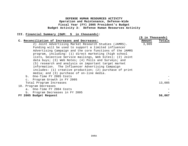## **III. Financial Summary (O&M: \$ in thousands):**

|                                                          | (\$ in Thousands) |        |
|----------------------------------------------------------|-------------------|--------|
| C. Reconciliation of Increases and Decreases:            | Amount            | Totals |
| 2) Joint Advertising Market Research Studies (JAMRS).    | 3,909             |        |
| Funding will be used to support a limited influencer     |                   |        |
| Advertising Campaign and the core functions of the JAMRS |                   |        |
| program, including: (1) direct marketing (high school    |                   |        |
| lists, Selective Service mailings, Web Sites); (2) Joint |                   |        |
| data buys; (3) Web Notes; (4) Polls and Surveys; and     |                   |        |
| (5) research and analysis on important target market     |                   |        |
| information. The Influencer Advertising Campaign         |                   |        |
| includes: (1) creative production; (2) purchase of print |                   |        |
| media; and (3) purchase of on-line media.                |                   |        |
| b. One-Time FY 2005 Costs                                |                   |        |
| c. Program Growth in FY 2005                             |                   |        |
| Total Program Increases                                  |                   | 13,085 |
| 10. Program Decreases                                    |                   |        |
| One-Time FY 2004 Costs<br>a <sub>1</sub>                 |                   |        |
| Program Decreases in FY 2005<br>b.                       |                   |        |
| FY 2005 Budget Request                                   |                   | 56,067 |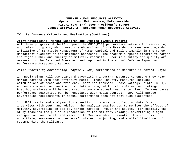#### **IV. Performance Criteria and Evaluation (Continued)**:

#### **Joint Advertising, Market Research and Studies (JAMRS) Program**

All three programs of JAMRS support the OUSD(P&R) performance metrics for recruiting and retention goals, which meet the objectives of the President's Management Agenda initiative of Strategic Management of Human Capital and fall primarily in the Force Management quadrant of the Balanced Scorecard. The program supports efforts to target the right number and quality of military recruits. Recruit quantity and quality are measured in the Balanced Scorecard and reported in the Annual Defense Report and Performance Assessment Review.

#### *Joint Recruiting Advertising Program (JRAP*) performance is measured in several ways:

1. Media plans will use standard advertising industry measures to ensure they reach market targets with cost-effective media. These industry measures include: calculations of reach and frequency, cost-per-thousand, Gross Ratings Points (GRPs), audience composition, audited circulation data, editorial profiles, and ratings. Post-buy analyses will be conducted to compare actual results to plan. In many cases, performance guarantees can be negotiated with media sources. JRAP will pursue advertising replacements if actual performance does not meet such guarantees.

2. JRAP tracks and analyzes its advertising impacts by collecting data from interviews with youth and adults. The analysis enables DoD to monitor the effects of military advertising on its key target markets – youth and adults. For example, the study measures the public's perception of the military (image), advertising slogan recognition, and recall and reaction to Service advertisements; it also links advertising awareness to prospects' interest in joining, and adults' likelihood of recommending the military.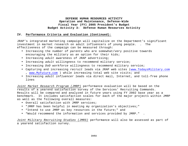## **IV. Performance Criteria and Evaluation (Continued)**:

JRAP's integrated marketing campaign will capitalize on the Department's significant investment in market research on adult influencers of young people. . The effectiveness of the campaign can be measured through:

- Increasing the number of *parents* who are somewhat/very positive towards encouraging the military as an option for their kids;
- Increasing *adult* awareness of JRAP advertising;
- Increasing *adult* willingness to recommend military service;
- Increasing *DoD workforce* willingness to recommend military service;
- Capturing and increasing *recruit* leads via JRAP web sites (www.TodaysMilitary.com , www.MyFuture.com ) while increasing total web site visits; and
- Increasing *adult influencer* leads via direct mail, Internet, and toll-free phone lines

*Joint Market Research Program (JMRP)* performance evaluation will be based on the results of a yearend satisfaction survey of the Services' Recruiting Commands. Results will be compared and analyzed in future years using FY 2002 base year as a benchmark. It includes satisfaction scales for each of the major projects within JMRP as well as the following overall measures:

- Overall satisfaction with JMRP services;
- "JMRP has been helpful in meeting my organization's objectives;"
- "Intend to use JMRP as key resources in the future;" and
- "Would recommend the information and services provided by JMRP." .

*Joint Military Recruiting Studies (JMRS)* performance will also be assessed as part of a yearend satisfaction survey.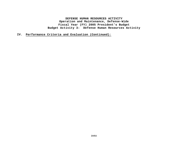**IV. Performance Criteria and Evaluation (Continued)**: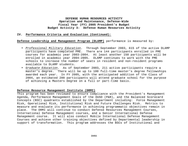#### **IV. Performance Criteria and Evaluation (Continued)**:

#### **Defense Leadership and Management Program (DLAMP)** performance is measured by:

- *Professional Military Education.* Through September 2003, 615 of the active DLAMP participants have completed PME. There are 144 participants enrolled in PME courses for academic year 2003-2004. At least another 150 participants will be enrolled in academic year 2004-2005. DLAMP continues to work with the PME schools to increase the number of seats in resident and non-resident programs available to DLAMP students.
- *Graduate Education.* As of September 2003, 211 active participants require a master's degree. There will be up to 100 full-time master's degree fellowships awarded each year. In FY 2005, with the anticipated addition of the Class of 2004, an estimated 200 participants will attend graduate school for the purpose of achieving a Masters Degree on a full or part-time basis.

#### **Defense Resource Management Institute (DRMI)**

This program has been reviewed to ensure compliance with the President's Management Agenda, Performance Management Goals of the OUSD (P&R), and the Balanced Scorecard Concepts (BSC) quadrants established by the Department including: Force Management Risk, Operational Risk, Institutional Risk and Future Challenges Risk. Metrics to measure and evaluate its performance in achieving programmatic objectives remain in place. The DRMI will continue to conduct Defense Resources Management Courses, International Defense Management courses, and a Senior International Defense Management course. It will also conduct Mobile International Defense Management Courses and achieve other training objectives defined by Departmental leadership in support of transformation. This program addresses the BSCs of Institutional and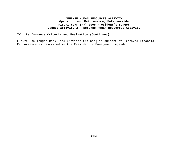# **IV. Performance Criteria and Evaluation (Continued)**:

Future Challenges Risk, and provides training in support of Improved Financial Performance as described in the President's Management Agenda.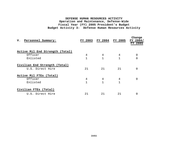| v.<br>Personnel Summary:        | FY 2003      | FY 2004      | FY 2005 | Change<br>FY 2004/<br>FY 2005 |  |  |
|---------------------------------|--------------|--------------|---------|-------------------------------|--|--|
| Active Mil End Strength (Total) |              |              |         |                               |  |  |
| Officer                         | 4            | 4            | 4       | 0                             |  |  |
| Enlisted                        | $\mathbf 1$  | $\mathbf{1}$ |         | 0                             |  |  |
| Civilian End Strength (Total)   |              |              |         |                               |  |  |
| U.S. Direct Hire                | 21           | 21           | 21      | 0                             |  |  |
| Active Mil FTES (Total)         |              |              |         |                               |  |  |
| Officer                         | 4            | 4            | 4       | 0                             |  |  |
| Enlisted                        | $\mathbf{1}$ | $\mathbf{1}$ | 1       |                               |  |  |
| Civilian FTES (Total)           |              |              |         |                               |  |  |
| U.S. Direct Hire                | 21           | 21           | 21      | 0                             |  |  |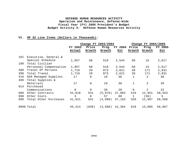## **VI. OP 32 Line Items (Dollars in Thousands):**

|     |                        | Change FY 2003/2004 |                |         | Change FY 2004/2005 |              |                |         |
|-----|------------------------|---------------------|----------------|---------|---------------------|--------------|----------------|---------|
|     |                        | FY 2003             | Price          | Prog    | FY 2004             | Price        | Prog           | FY 2005 |
|     |                        | Actual              | Growth         | Growth  | Est                 | Growth       | Growth         | Est     |
| 101 | Executive, General &   |                     |                |         |                     |              |                |         |
|     | Special Schedule       | 1,957               | 68             | 519     | 2,544               | 58           | 15             | 2,617   |
| 199 | Total Civilian         |                     |                |         |                     |              |                |         |
|     | Personnel Compensation | 1,957               | 68             | 519     | 2,544               | 58           | 15             | 2,617   |
| 308 | Travel Of Persons      | 1,719               | 29             | 873     | 2,621               | 39           | 171            | 2,831   |
| 399 | Total Travel           | 1,719               | 29             | 873     | 2,621               | 39           | 171            | 2,831   |
| 416 | GSA Managed Supplies   | 17                  | 0              | 19      | 36                  | $\mathbf 1$  | 2              | 39      |
| 499 | Total Supplies &       |                     |                |         |                     |              |                |         |
|     | Materials              | 17                  | $\overline{0}$ | 19      | 36                  | $\mathbf{1}$ | $\overline{2}$ | 39      |
| 914 | Purchased              |                     |                |         |                     |              |                |         |
|     | Communications         | $\mathbf 0$         | $\mathbf 0$    | 20      | 20                  | $\mathbf 0$  | 2              | 22      |
| 989 | Other Contracts        | 41,618              | 541            | (5,076) | 37,083              | 519          | 12,951         | 50,553  |
| 998 | Other Costs            | 3                   | $\overline{0}$ | 57      | 60                  | $\mathbf{1}$ | (56)           | 5       |
| 999 | Total Other Purchases  | 41,621              | 541            | (4,999) | 37,163              | 520          | 12,897         | 50,580  |
|     | 9999 Total             | 45,314              | (638)          | (3,588) | 42,364              | 618          | 13,085         | 56,067  |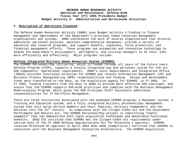#### **I. Description of Operations Financed:**

The Defense Human Resources Activity (DHRA) uses Budget Activity 4 funding to finance management and improvement of the Department's principal human resources management organizations and systems. DHRA coordinates the work of several organizations that directly administer personnel policies, maintain comprehensive databases, provide a variety of education and research programs, and support benefit, readiness, force protection, and financial management efforts. These programs use automation and innovative technology to enable the Department's policymakers, warfighters, and civilian managers to do their jobs more efficiently and effectively. Major programs include:

#### **Defense Integrated Military Human Resources System (DIMHRS)**

The DIMHRS Personnel/Pay initiative, which is funded through all years of the Future Years Defense Program (FYDP), supports a totally integrated pay and personnel system for the all DoD Components' operational requirements. DHRA's Joint Requirements and Integration Office (JR&IO) provides functional direction for DIMHRS and retains Information Management (IM) and Business Process Reengineering (BPR) responsibilities and funding. Design and development funds were transferred to the Navy, as the Acquisition agency for DIMHRS, in FY 2002. In FY 2005, funding transfers from the Navy to DHRA to provide more effective OSD oversight, and ensure that the DIMHRS supports DoD-wide priorities and complies with the Business Management Modernization Program, which gives the OSD Principal Staff Assistants additional responsibilities for IT Portfolio Management.

There are three initiatives associated with the expanded DIMHRS program: a Manpower system; a Training and Education system; and a fully integrated military personnel/pay management system that will serve Service members and their families, military commanders, and the Services into the 21<sup>st</sup> century. In compliance with the Clinger-Cohen Act and the Government Performance and Results Act, the DIMHRS Personnel/Pay project is identifying "useful segments" that can demonstrate both rapid acquisition techniques and measurable functional benefits. OASD C3I certified that DIMHRS met the Clinger-Cohen Act requirements under section 8121 of the FY 2000 Defense Appropriations Act for Milestone I approval. DIMHRS received Milestone B1 approval in April 2003 when OUSD (Comptroller) certified that DIMHRS is consistent with the Business Management Enterprise Architecture. The DIMHRS Acquisition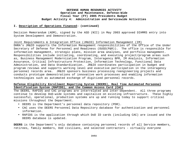#### **I. Description of Operations Financed: (continued)**

Decision Memorandum (ADM), signed by the ASD (NII) in May 2003 approved DIHMRS entry into System Development and Demonstration.

Joint Requirements & Integration Office (JR&IO) Information Management (IM) DHRA's JR&IO supports the Information Management responsibilities of the Office of the Under Secretary of Defense for Personnel and Readiness (OUSD(P&R)). The office is responsible for information management, strategic plans, mission area analyses, and portfolio management. Responsibilities include initiating, coordinating, and executing project/program areas such as, Business Management Modernization Program, Interagency BPR, IM Analysis, Information Assurance, Critical Infrastructure Protection, Information Technology, Functional Data Administration, and Data Standardization. JR&IO coordinates participation in budget and program reviews and supports working level and executive participation in the interagency personnel records area. JR&IO sponsors business processing reengineering projects and conducts prototype demonstrations of innovative work processes and enabling information technologies such as automated exchange of digitized personnel records.

## **Defense Eligibility Enrollment Reporting System (DEERS), Real Time Automated Personnel Identification System (RAPIDS), and the Common Access Card (CAC)**

The DEERS, RAPIDS and CAC programs are interrelated and inter-dependent. All three programs continue to develop DoD-wide systems and capitalize on existing infrastructure. These highly successful, operational, production systems are up and running today to support critical missions throughout the Department.

- DEERS is the Department's personnel data repository (PDR).
- CAC uses the DEERS Personnel Data Repository database for authentication and personnel information.
- RAPIDS is the application through which DoD ID cards (including CAC) are issued and the DEERS database is updated.

**DEERS** is the Department's only database containing personnel records of all Service members, retirees, family members, DoD civilians, and selected contractors - virtually everyone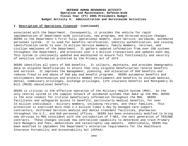#### **I. Description of Operations Financed: (continued)**

associated with the Department. Consequently, it provides the vehicle for rapid implementation of Department-wide initiatives, new programs, and directed mission changes. DEERS is the Department's first fully operational modern, Joint-Service, worldwide, automated personnel system. It is used for benefits verification, identity authentication, and issuing identification cards to over 23 million Service members, family members, retirees, and civilian employees of the Department. It gathers updated information from over 100 systems throughout the Department, and processes over 2.4 million transactions and updates each day. This system is continually updated and maintained to ensure full functionality and security of sensitive information protected by the Privacy Act of 1974.

DEERS identifies all users of DoD benefits. It collects, maintains, and provides demographic data on eligible beneficiaries to ensure that only eligible beneficiaries receive benefits and services. It improves the management, planning, and allocation of DoD benefits and reduces fraud in and abuse of DoD pay and benefit programs. DEERS automates benefits and entitlements determination and protects member entitlements and benefits to include medical, dental, commissary privileges, exchange privileges, life insurance benefits and Montgomery GI Bill (MGIB) educational benefits.

DEERS is critical to the effective operation of the Military Health System (MHS). As the only central system in the complex network of automated systems that make up the MHS, DEERS is the sole conduit for critical beneficiary information throughout the MHS. DEERS facilitates and safeguards access to benefits, particularly medical benefits, for over 23 million individuals - military members, including retirees, and their families. This protection is exercised more than 2.2 million times a day by managed care support contractors, Uniformed Services medical and dental treatment facilities, pharmacies throughout the U.S., and DoD personnel offices. DEERS has been extensively modified to bring new services to MHS coincident with the introduction of T-NEX, the next generation of TRICARE contracts. These changes include new centralized capability to determine and track Primary Care Managers and fees, deductibles and catastrophic cap amounts. Additionally, DEERS has been modified to implement the Department's enterprise requirements for the Healthcare Insurance Portability and Accountability Act (HIPAA).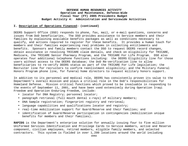### **I. Description of Operations Financed: (continued)**

DEERS Support Office (DSO) responds to phone, fax, mail, or e-mail questions, concerns and issues from DoD beneficiaries. The DSO provides assistance to Service members and their families by explaining available benefits packages as well as conditions necessary to qualify, and actions required to register for these benefits. It provides a human touch for members and their families experiencing real problems in collecting entitlements and benefits. Sponsors and family members contact the DSO to request DEERS record changes, obtain assistance in resolving TRICARE claim denials, and check on eligibility for TRICARE, Medicare, the TRICARE Senior Pharmacy Program, and the TRICARE For Life Program. DSO also operates four additional telephone functions including: the DEERS Eligibility line for those users without access to the DEERS database; the DoD Re-verification line to allow beneficiaries to re-verify DEERS status as part of the TRICARE For Life legislation; the Recruiter line for recruiters to confirm reenlistment eligibility; and the Military Funeral Honors Program phone line, for funeral home directors to request military honors support.

In addition to its personnel and medical role, DEERS has consistently proven its value to the Department's overall mission and plays a critical role in the DoD's responsibilities for Homeland Defense. Mission critical functions which proved to be invaluable in responding to the events of September 11, 2001, and have been used extensively during Operation Iraqi Freedom and Operation Enduring Freedom, include:

- locator for DNA Registry; personnel locator;
- panograph retrieval (full mouth dental x-rays) of military members;
- DNA Sample registration; fingerprint registry and retrieval;
- language capabilities and qualifications locator and registry;
- real-time mobilization support for Guard/Reserve and their families; and
- identification of Guard/Reserve participation in contingencies (mobilization unique benefits for members and their families).

**RAPIDS** is the Department's enterprise solution for annually issuing four to five million Uniformed Services Identification and Privilege Cards to Service members, active and Reserve component, civilian employees, retired members, eligible family members, and selected contractors. This system is fielded in over 1,200 locations around the world including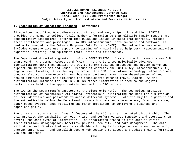#### **I. Description of Operations Financed: (continued)**

fixed-sites, mobilized Guard/Reserve activities, and Navy ships. In addition, RAPIDS provides the means to collect family member information so that eligible family members are appropriately categorized, entered into DEERS and issued ID cards that correctly reflect their entitlements and privileges. RAPIDS infrastructure, both hardware and software, is centrally managed by the Defense Manpower Data Center (DMDC). The infrastructure also includes comprehensive user support consisting of a multi-tiered help desk, telecommunication expertise, training, and equipment installation and maintenance.

The Department directed augmentation of the DEERS/RAPIDS infrastructure to issue the new DoD smart card - the Common Access Card (CAC). The CAC is a technologically advanced identification card that enables the DoD to reform business processes and better serve and support our Service men and women. Because it contains the Public Key Infrastructure (PKI) digital certificates, it is the key to protect the DoD information technology infrastructure, conduct electronic commerce with our business partners, move to web-based personnel and health administration, and implement the reengineered Defense Travel System. As the authentication database for CAC PKI, DEERS stores information related to the digital certificates held by the approximately four million CAC holders.

The CAC is the Department's passport to the electronic world. The technology provides authentication of cardholders via digital credentials, eliminating the need for a multitude of user identities and passwords to access different systems. Both the digital signature and the authentication allow the Department to move business and commerce away from cumbersome, paper-based systems, thus resolving the major impediment to achieving e-business and paperless goals.

The primary distinguishing, "smart" feature of the CAC is the integrated circuit chip. The chip provides the capability to read, write, and perform various functions and operations on several thousand bytes of information. The information stored on this chip is varied: identification, demographics, benefits, physical security, and card management. The chip will store certificates that enable cardholders to digitally sign documents such as e-mail, encrypt information, and establish secure web sessions to access and update their information via the Internet.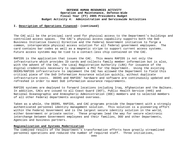### **I. Description of Operations Financed: (continued)**

The CAC will be the principal card used for physical access to the Department's buildings and controlled access spaces. The CAC's physical access capability supports both the DoD Business Initiative Council Directive and the Federal Government initiative to forge a common, interoperable physical access solution for all federal government employees. The card contains bar codes as well as a magnetic stripe to support current access systems. Future access systems may be tied to a contact-less chip contained on the CAC.

RAPIDS is the application that issues the CAC. This means RAPIDS is not only the infrastructure which provides ID cards and collects family member information but is also, with the advent of the CAC, the Local Registration Authority (LRA) for issuance of the digital credentials necessary to implement a PKI for the Department. Using the existing DEERS/RAPIDS infrastructure to implement the CAC has allowed the Department to field this critical piece of the DoD Information Assurance solution quickly, without duplicate infrastructure costs. DEERS and RAPIDS' hardware and software are continuously updated and refreshed in order to meet DoD information assurance requirements.

RAPIDS systems are deployed to forward locations including Iraq, Afghanistan and the Balkans. In addition, CACs are issued to all Coast Guard (DOT), Public Health Service (HHS) and National Oceanographic and Atmospheric Administration (DOC) members and to selected members of all other Federal departments assigned overseas.

Taken as a whole, the DEERS, RAPIDS, and CAC programs provide the Department with a strongly authenticated personnel identity management solution. This solution is a pioneering effort within the Federal Government and is the largest secure identity solution in the world, either Government or private sector. These programs lead the way for secure electronic interchange between Government employees and their families, DOD and other Departments, Agencies and business partners.

### **Regionalization and Systems Modernization**

The combined results of the Department's transformation efforts have greatly streamlined personnel operations and reduced the number of required staff. Three initiatives,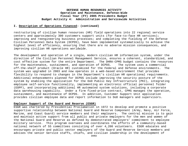#### **I. Description of Operations Financed: (continued)**

restructuring of civilian human resources (HR) field operations into 22 regional service centers and approximately 300 customers support units (for face-to-face HR services); improving and reengineering business processes; and completing the fielding of the Defense Civilian Personnel Data System (DCPDS), have been implemented systematically to achieve the highest level of efficiency, ensuring that there are no adverse mission consequences, and improving civilian HR operations worldwide.

The development and operation of a single, modern civilian HR information system, under the direction of the Civilian Personnel Management Service, ensures a coherent, standardized, and cost effective system for the entire Department. The DHRA-CPMS budget contains the resources for the maintenance, sustainment, and operation of DCPDS. The system uses a commercial off-the-shelf product (Oracle HR) customized for the Federal and Defense environments. The system was upgraded in 2003 and now operates in a web-based environment that provides flexibility to respond to changes in the Department's civilian HR operational requirements. Additional enhancements planned for DCPDS include improving the security posture of the system by enabling the application for the DoD Public Key Infrastructure (PKI), integrating employee self-service functionality, implementing an electronic official personnel folder (EOPF), and incorporating additional HR automated system solutions, including a corporate data warehousing capability. Under a firm fixed-price contract, CPMS manages the operation, sustainment, and maintenance of DCPDS. In addition, Customer Support Unit application provides civilian employee data and report information to DoD managers and supervisors.

#### **Employer Support of the Guard and Reserve (ESGR)**

ESGR was chartered by Presidential Proclamation in 1972 to develop and promote a positive supportive relationship between National Guard and Reserve Component (Army, Navy, Air Force, Marine, and Coast Guard) service members and their employers. The central mission is to gain and maintain active support from all public and private employers for the men and women of the National Guard and Reserve as defined by demonstrated employers' commitment to employee military service. This program oversees and coordinates the efforts of a community-based national network of 55 committees consisting of over 4,200 volunteers. ESGR educates and encourages private and public sector employers of the Guard and Reserve Service members and advises the senior Service staffs, chiefs, and civilian leadership in the development of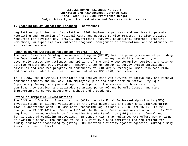### **I. Description of Operations Financed: (continued)**

regulations, policies, and legislation. ESGR implements programs and services to promote recruiting and retention of National Guard and Reserve Service members. It also provides resources for civilian pay, travel, advertising, surveys, educational seminars, training workshops, multiple employer outreach programs, management of information, and maintenance of information systems.

### **Human Resource Strategic Assessment Program (HRSAP)**

The Human Resources Strategic Assessment Program (HRSAP) has the primary mission of providing the Department with an Internet and paper-and-pencil survey capability to quickly and accurately assess the attitudes and opinions of the entire DoD community--Active, and Reserve service members and DoD civilians. HRSAP's Internet personnel survey system establishes baselines and measures progress on components of USD(P&R)'s Strategic Human Resources Plan, and conducts in-depth studies in support of other USD (P&R) requirements.

In FY 2005, the HRSAP will administer and analyze nine Web surveys of active duty and Reserve component members and DoD civilian employees; plan and administer an Active-Duty Equal Opportunity Survey; analyze and report on topics of the surveys, such as retention, commitment to service, and attitudes regarding personnel and benefit issues; and make improvements to survey assessment methods and procedures.

### **Office of Complaint Investigations**

The Office of Complaint Investigations (OCI) conducts Equal Employment Opportunity (EEO) investigations of alleged violations of the Civil Rights Act and other anti-discrimination laws in accordance with EEO Complaint Processing Regulations (29 CFR Part 1614). FY 2000 changes to 29 CFR 1614 and Section 1111 of the National Defense Authorization Act for FY 2001 required increased emphasis on Alternative Dispute Resolution (ADR) at the informal and formal stage of complaint processing. In concert with that guidance, OCI offers ADR on 100% of available cases. The changes to 29 CFR, Part 1614 also fortified the requirement for timely complaint processing by giving EEOC sanction authority against agencies, making timely investigations critical.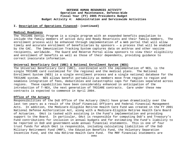#### **I. Description of Operations Financed: (continued)**

### **Medical Readiness**

The TRICARE Dental Program is a single program with an expanded benefits population to include the family members of active duty and Ready Reservists and their family members. The enrollment process will be enhanced through implementation of a Web portal that will allow timely and accurate enrollment of beneficiaries by sponsors — a process that will be enabled by the CAC. The Immunization Tracking System captures data on anthrax and other vaccine recipients, worldwide. The Guard and Reserve Portal allow sponsors to view their eligibility and enrollment of benefits as well as those of their dependents, providing guidance to correct inaccurate information.

### **Universal Beneficiary Card (UBC) & National Enrollment System (NES)**

The Universal Beneficiary Card (UBC), coordinated with the implementation of NES, is the single TRICARE card customized for the regional and the medical plans. The National Enrollment System (NES) is a single enrollment process and a single national database for the TRICARE system. NES allows benefit portability as members move from region to region and seamless integration of fees, deductibles and catastrophic caps for families separated across regions. These capabilities have been considerably enhanced in anticipation of the introduction of T-NEX, the next generation of TRICARE contracts. Care under these new contracts is expected to commence in April 2004.

### **Office of the Actuary**

Responsibilities of the DoD Office of the Actuary (OAct) have grown dramatically over the last ten years as a result of the Chief Financial Officers and Federal Financial Management Acts. In addition, the Medicare-Eligible Retiree Health Care Fund was created in the FY 2001 National Defense Authorization Act, along with a Medicare-Eligible Retiree Health Care Board of Actuaries. OAct is tasked with assisting in the Fund's implementation and providing support to the Board. In particular, OAct is responsible for computing DoD's and Treasury's Fund contributions for inclusion in annual budgets and for estimating the Fund's liability to be reported in DoD and government-wide annual financial statements. This is one of four trust funds for which OAct is responsible, including calculating liabilities of the DoD Military Retirement Fund (MRF), the Education Benefits Fund, the Voluntary Separation Incentive Fund, and the new Retiree Health Care Fund. The MRF financial statements are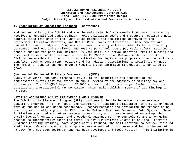### **I. Description of Operations Financed: (continued)**

audited annually by the DoD IG and are the only major DoD statements that have consistently received an unqualified audit opinion. OAct calculates DoD's and Treasury's required annual contributions into each of the Funds using methods and assumptions approved by the Retirement, Education Benefits, and Health Care Boards of Actuaries. These amounts are needed for annual budgets. Congress continues to modify military benefits for active duty personnel, retirees and survivors, and Reserve personnel (e.g., pay table reform, retirement benefit changes for post-1986 members, 30-year paid-up survivor benefits, skilled nursing and home health care limitations enacted in the FY 2002 National Defense Authorization Act). OAct is responsible for producing cost estimates for legislative proposals involving military benefits (such as concurrent receipt) and for adapting calculations to legislated changes. The number of benefit changes enacted requiring cost estimates is expected to continue to grow.

### **Quadrennial Review of Military Compensation (QRMC)**

Every four years, the QRMC directs a review of the principles and concepts of the compensation system that overarches an annual review of the adequacy of military pay and allowances. The  $10^{th}$  ORMC began in FY 2003 and will fold into a larger SecDef initiative establishing a Presidential Pay Commission, which will publish a report of its findings in FY 2005.

### **Civilian Assistance and Re-Employment (CARE) Program**

The DoD Priority Placement Program (PPP) continues to be the Department's cornerstone placement program. The PPP focus, the placement of displaced dislocated workers, is enhanced through the use of web-based technology. Program managers are developing and transitioning the program to fully migrate the PPP into the Defense Civilian Personnel Data System. These initiatives combined with other systems innovations, e.g., development of meta-tags that easily identify on-line policy and procedural guidance for PPP counselors, and an on-going project to incrementally adapt the formal 3½-day PPP Training Course to on-line Electronic Distance Learning Training, have significantly reduced, and will continue to reduce, required staff time. We are committed to complete development of four course modules by the end of FY 2004 (one has been deployed; one has been developed and field tested). This initiative is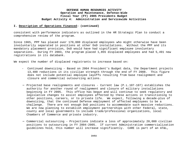### **I. Description of Operations Financed: (continued)**

consistent with performance indicators as outlined in the HR Strategic Plan to conduct a comprehensive review of the program.

Since 1965, PPP has placed over 170,000 displaced employees who might otherwise have been involuntarily separated in positions at other DoD installations. Without the PPP and its mandatory placement provision, DoD would have had significant employee involuntary separations. During FY 2003, the program placed 1,855 displaced employees and had 5,491 new registrations in its databank.

We expect the number of displaced registrants to increase based on:

- Continued downsizing Based on 2004 President's Budget data, the Department projects 13,400 reductions in its civilian strength through the end of FY 2008. This figure does not include potential employee layoffs resulting from base realignment and closure and commercial outsourcing actions.
- − Projected base realignments and closures Current law (P.L.107-107) establishes the authority for another round of realignment and closure of military installations beginning in FY 2005. This office has begun and will continue to seek regulatory and legislative changes to assist employees affected by these actions in transitioning to other positions, careers, or to private life. We expect, following a decade-plus of downsizing, that the continued Defense employment of affected employees to be a challenge. There are not enough DoD positions to accommodate such massive reductions. We are now planning to establish employment partnerships with other Federal, state, county and local governments to include trade/professional organizations, local Chambers of Commerce and private industry.
- − Commercial outsourcing Projections indicate a loss of approximately 20,000 civilian positions to outsourcing in FY 2004-2005. If current Administration commercialization guidelines hold, this number will increase significantly. CARE is part of an AT&L,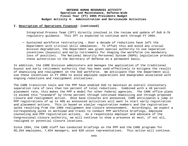#### **I. Description of Operations Financed: (continued)**

Integrated Process Team (IPT) directly involved in the review and update of DoD A-76 regulatory guidance. This IPT is expected to continue work through FY 2004.

− Sustained workforce restructuring – Over a decade of reductions have left the Department with critical skill imbalances. To offset this and avoid any crucial mission degradation, the Department was given special authority to use separation incentives (buyouts) and early retirements for shaping the workforce (no mandatory loss of position). The National Security Personnel System (NSPS) legislative provides these authorities to the Secretary of Defense on a permanent basis.

In addition, the CARE Division administers and manages the application of the traditional buyout and early retirement authority that has been used effectively to mitigate the results of downsizing and realignment on the DoD workforce. We anticipate that the Department will use these incentives in FY 2004 to avoid employee separations and downgrades associated with ongoing reductions and realignment initiatives.

The CARE transition tools and the PPP have enabled DoD to maintain an overall involuntary separation rate of less than ten percent of total reductions. Combined with a 40 percent placement rate, this makes the PPP a model for other Federal agencies. The CARE office plans to exceed this "standard" by three percent through continued downsizing and through proposed closure and realignment action. Once base closures are announced, CARE anticipates a jump in PPP registrations of up to 40% as announced activities will want to start early registration and placement actions. This is based on similar registration numbers and the registration spike resulting from the 1989 realignment and closure announcement. Accordingly, we expect a corresponding spike in workload and travel to conduct PPP workforce briefings, employee counseling and PPP registration actions. As a responsible employer and advocate of the Congressional closure authority, we will continue to show a presence at most, if not all, realigned or potential closure locations.

Since 1994, the CARE staff has conducted briefings on the PPP and the CARE programs for 95,264 employees, 7,834 managers, and 828 union representatives. This action will continue.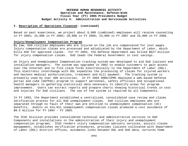#### **I. Description of Operations Financed: (continued)**

Based on past experience, we project about 6,000 (combined) employees will receive counseling in FY 2004; 15,000 in FY 2005; 20,000 in FY 2006; 23,000 in FY 2007 and 25,000 in FY 2008.

### **Injury/Unemployment Compensation Program**

By law, DoD civilian employees who are injured on the job are compensated for lost wages. Injury compensation claims are processed and adjudicated by the Department of Labor, which bills DoD for approved claims. For FY 2003, the Defense Department was billed \$627 million for injury compensation claims. DoD leads the Federal Government in cost savings.

An Injury and Unemployment Compensation tracking system was developed to aid DoD liaisons and installation managers. The system was upgraded in 2002 to enable customers to gain access over the Internet and to file claim forms electronically to the Department of Labor (DOL). This electronic interchange with DOL expedites the processing of claims for injured workers and hastens medical authorizations, treatment and bill payment. The tracking system is presently used by over 400 activities. In FY 2003 DHRA/CPMS deployed a web-based Defense portal and cube (DefPAC) program to support personnel, safety officials and occupational health managers in gathering statistical data necessary to identify areas for program improvement. Users can extract reports and prepare charts showing historical trends in cost and injuries for DoD civilians. The use of the system is required by all Components.

In FY 1993, the Department established a centralized, consolidated case review and claims verification process for all DoD unemployment claims. DoD civilian employees who are separated through no fault of their own are entitled to unemployment compensation (UC) benefits. Audits on 414,011 unemployment compensation claims produced a cost avoidance of \$9.5 million for FY 1994 – FY 2003.

The ICUC Division provides consolidated technical and administrative services to DoD Components and installations in the administration of their injury and unemployment compensation programs. ICUC renders injury compensation advisory services, assists claims management, establishes verification procedures, provides liaisons collocated with Department of Labor (DOL) district offices, automates links between DOL and DoD data, nurtures home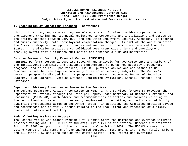### **I. Description of Operations Financed: (continued)**

visit initiatives, and reduces program-related costs. It also provides compensation and unemployment training and technical assistance to Components and installations and serves as the primary contact between DoD, DOL, and the State Employment Security Agencies. It records and audits quarterly State unemployment compensation charges. As part of the audit function, the Division disputes unsupported charges and ensures that credits are received from the States. The Division provides a consolidated Department-wide injury and unemployment tracking system that eliminates duplication and enhances claims administration.

### **Defense Personnel Security Research Center (PERSEREC)**

PERSEREC performs personnel security research and analysis for DoD Components and members of the intelligence community and evaluates improvements to personnel security procedures, programs, and policies. Upon request, PERSEREC provides advice and assistance to DoD Components and the intelligence community of selected security subjects. The Center's research program is divided into six programmatic areas: Automated Personnel Security Systems, Trust Betrayal, Vetting Systems, Continuing Evaluation, Special Projects, and Databases.

## **Department Advisory Committee on Women in the Services**

The Defense Department Advisory Committee on Women in the Services (DACOWITS) provides the Department of Defense, through the Principal Deputy Under Secretary of Defense (Personnel and Readiness) (PUSD(P&R), with advice and recommendations on matters and policies relating to the recruitment and retention, treatment, employment, integration, and well-being of highly qualified professional women in the Armed Forces. In addition, the Committee provides advice and recommendations on family issues related to the recruitment and retention of a highly qualified professional military.

#### **Federal Voting Assistance Program**

The Federal Voting Assistance Program (FVAP) administers the Uniformed and Overseas Citizens Absentee Voting Act, 42 USC 1973ff (UOCAVA); Title XVI of the National Defense Authorization Act of FY 2002 and portions of the Help America Vote Act of 2002. The UOCAVA covers the voting rights of all members of the Uniformed Services, merchant marine, their family members and all other U.S. citizens outside the United States. The Program has oversight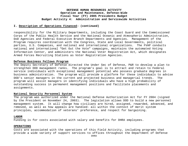### **I. Description of Operations Financed: (continued)**

responsibility for the Military Departments, including the Coast Guard and the Commissioned Corps of the Public Health Service and the National Oceanic and Atmospheric Administration, DoD Agencies and Federal Executive Branch Departments and Agencies. Management of the Program requires coordination with the Congress, State and Local Governments, political parties, U.S. Companies, and national and international organizations. The FVAP conducts national and international "Get Out the Vote" campaigns, maintains the automated Voting Information Center, and administers the National Voter Registration Act, which designates Armed Forces Recruiting Stations as Voter Registration Agencies.

### **Defense Business Fellows Program**

The Deputy Secretary of Defense directed the Under Sec of Defense, P&R to develop a plan to strengthen DOD management ranks. The program's goal is to attract and retain to Federal service individuals with exceptional management potential who possess graduate degrees in business administration. The program will provide a platform for these individuals to advise DOD's senior managers in the current and projected business and managerial trends. The program will assist managers in identifying individuals who have a high probability of outstanding success in permanent management positions and facilitate placements and assignments.

#### **National Security Personnel System**

The program was authorized under the National Defense Authorization Act for FY 2004 (signed by the President on November 24, 2003). The legislation allows DOD to build a new personnel management system. It will change how civilians are hired, assigned, rewarded, advanced, and removed, as well as how appeals are handled- all within the context of merit system principles, accommodation of veterans' preference, and respect for bargaining.

#### **LABOR**

Funding is for costs associated with salary and benefits for DHRA employees.

#### **OPERATIONS**

Costs are associated with the operations of this Field Activity, including programs that provide a wide variety of support services to offices throughout the Department of Defense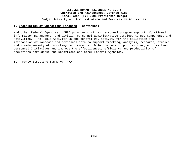### **I. Description of Operations Financed: (continued)**

and other Federal Agencies. DHRA provides civilian personnel program support, functional information management, and civilian personnel administrative services to DoD Components and Activities. The Field Activity is the central DoD activity for the collection and interaction of manpower and personnel data to support tracking, analysis, research, studies and a wide variety of reporting requirements. DHRA programs support military and civilian personnel initiatives and improve the effectiveness, efficiency and productivity of operations throughout the Department and other Federal Agencies.

II. Force Structure Summary: N/A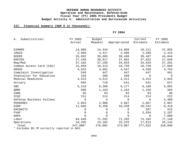# **III. Financial Summary (O&M \$ in thousands):**

| . | 2004 | т. |
|---|------|----|
|   |      |    |

| Subactivities:<br>Α.     | FY 2003    | Budget   |              | Current        | FY 2005        |
|--------------------------|------------|----------|--------------|----------------|----------------|
|                          | Actual     | Request  | Appropriated | Estimate       | Estimate       |
| DIMHRS                   | 14,008     | 14,344   | 14,008       | 19,211         | 47,055         |
| JR&IO                    | 2,586      | 3,417    | 2,586        | 2,586          | 2,415          |
| <b>DEERS</b>             | 35,692     | 39,605   | 38,466       | 38,487         | 44,044         |
| RAPIDS                   | 27,440     | 38,917   | 37,801       | 37,822         | 27,046         |
| Reg/Mod                  | 37,102     | 37,105   | 34,834       | 34,834         | 37,291         |
| Common Access Card (CAC) | 15,850     | 19,313   | 18,759       | 18,759         | 17,609         |
| HRSAP                    | 4,923      | 4,681    | 4,547        | 4,550          | 4,704          |
| Complaint Investigation  | 548        | 447      | 447          | 447            | 461            |
| Chancellor for Education | 328        | 289      | 289          | 0              | $\overline{0}$ |
| Medical Readiness        | 4,523      | 3,512    | 3,411        | 3,413          | 3,643          |
| Actuary                  | 695        | 710      | 631          | 631            | 627            |
| <b>UBC</b>               | 5,218      | 6,360    | 6,177        | 6,180          | 5,892          |
| QRMC                     | 500        | 1,163    | 1,162        | 1,150          | 365            |
| CARE                     | 95         | 93       | 93           | 93             | 98             |
| ICUC                     | 151        | 214      | 214          | 214            | 222            |
| Defense Business Fellows | $\Omega$   | $\Omega$ | $\Omega$     | $\Omega$       | 4,400          |
| PERSEREC                 | 2,852      | 2,900    | 2,867        | 2,867          | 2,897          |
| ESGR                     | 11,606     | 8,258    | 10,258       | 10,342         | 8,419          |
| DACOWITS                 |            | $\cup$   | 0            | 287            | 315            |
| FVAP                     |            |          |              | 3,834          | 2,187          |
| <b>NSPS</b>              |            |          | $\Omega$     | $\overline{0}$ | 7,000          |
| Labor                    | 64,648     | 71,292   | 71,292       | 74,102         | 77,148         |
| Operations               | 18,295     | 24,182   | 25,225       | 17,813         | 25,142         |
| Total                    | $247,080*$ | 276,802  | 273,067      | 277,622        | 318,940        |

*\* Excludes \$5.7M correctly reported in BA3.*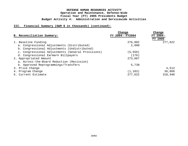| B. Reconciliation Summary:                        | Change<br>FY 2004- FY2004 | Change<br>FY 2004-<br><b>FY 2005</b> |
|---------------------------------------------------|---------------------------|--------------------------------------|
| 1. Baseline Funding                               | 276,802                   | 277,622                              |
| a. Congressional Adjustments (Distributed)        | 2,000                     |                                      |
| b. Congressional Adjustments (Undistributed)      |                           |                                      |
| c. Congressional Adjustments (General Provisions) | (5, 559)                  |                                      |
| d. Congressional Earmark Billpayers               | (176)                     |                                      |
| 2. Appropriated Amount                            | 273,067                   |                                      |
| a. Across-the-Board Reduction (Recission)         |                           |                                      |
| b. Approved Reprogrammings/Transfers              | 5,738                     |                                      |
| 3. Price Change                                   |                           | 4,512                                |
| 4. Program Change                                 | (1, 183)                  | 36,806                               |
| 5. Current Estimate                               | 277,622                   | 318,940                              |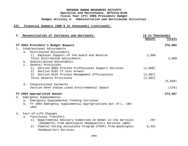|    | C. Reconciliation of Increases and Decreases:                                     | (\$ in Thousands) |          |
|----|-----------------------------------------------------------------------------------|-------------------|----------|
|    |                                                                                   | Amount            | Totals   |
|    | FY 2004 President's Budget Request                                                |                   | 276,802  |
| 1. | Congressional Adjustments                                                         |                   |          |
|    | a. Distributed Adjustments                                                        |                   |          |
|    | Employer Support of the Guard and Reserve<br>1)                                   | 2,000             |          |
|    | Total Distributed Adjustments                                                     |                   | 2,000    |
|    | b. Undistributed Adjustments                                                      |                   |          |
|    | c. General Provisions                                                             |                   |          |
|    | 1) Section 8094 Prorate Professional Support Services                             | (1,600)           |          |
|    | 2) Section 8101 IT Cost Growth<br>3) Section 8126 Prorate Management Efficiencies | (2, 597)          |          |
|    | Total General Provisions                                                          | (1, 362)          |          |
|    |                                                                                   |                   | (5, 559) |
|    | d. Congressional Earmarks                                                         |                   |          |
|    | Section 8044 Indian Lands Environmental Impact                                    |                   | (176)    |
|    |                                                                                   |                   |          |
|    | FY 2004 Appropriated Amount                                                       |                   | 273,067  |
| 2. | Emergency Supplemental                                                            |                   |          |
|    | a. Emergency Supplemental Funding Carryover                                       |                   |          |
|    | FY 2004 Emergency Supplemental Appropriations Act (P.L. 108-<br>b.                |                   |          |
|    | 106)                                                                              |                   |          |
| 3. | Fact-of-Life Changes                                                              |                   |          |
|    | Functional Transfers<br>$a$ .                                                     |                   |          |
|    | 1) Departmental Advisory Committee on Women in the Services                       | 287               |          |
|    | (DACOWITS) from Washington Headquarters Services (WHS)                            |                   |          |
|    | Federal Voting Assistance Program (FVAP) from Washington<br>2)                    | 5,451             |          |
|    | Headquarters Services                                                             |                   |          |
|    |                                                                                   |                   |          |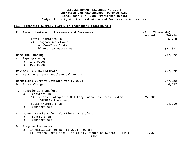|             | C. Reconciliation of Increases and Decreases:                               | (\$ in Thousands) |          |
|-------------|-----------------------------------------------------------------------------|-------------------|----------|
|             |                                                                             | Amount            | Totals   |
|             | Total Transfers In                                                          |                   | 5,738    |
|             | Program Reductions<br>2)                                                    |                   |          |
|             | a) One-Time Costs                                                           |                   |          |
|             | b) Program Decreases                                                        |                   | (1, 183) |
|             | Baseline Funding                                                            |                   | 277,622  |
| 4.          | Reprogramming                                                               |                   |          |
|             | Increases<br>a.                                                             |                   |          |
|             | b.<br>Decreases                                                             |                   |          |
|             | Revised FY 2004 Estimate                                                    |                   | 277,622  |
|             | 5. Less: Emergency Supplemental Funding                                     |                   |          |
|             | Normalized Current Estimate for FY 2004                                     |                   | 277,622  |
|             | 6. Price Change                                                             |                   | 4,512    |
| $7_{\cdot}$ | Functional Transfers                                                        |                   |          |
|             | Transfers In<br>a.                                                          |                   |          |
|             | 1) Defense Integrated Military Human Resources System<br>(DIMHRS) from Navy | 24,700            |          |
|             | Total transfers In                                                          |                   | 24,700   |
|             | b. Transfers Out                                                            |                   |          |
| 8.          | Other Transfers (Non-functional Transfers)                                  |                   |          |
|             | Transfers In<br>a.                                                          |                   |          |
|             | Transfers Out<br>b.                                                         |                   |          |
| 9.          | Program Increases                                                           |                   |          |
|             | Annualization of New FY 2004 Program<br>a.                                  |                   |          |
|             | 1) Defense Enrollment Eligibility Reporting System (DEERS)<br>DHRA          | 5,969             |          |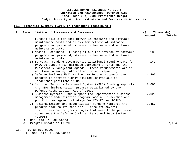### **III. Financial Summary (O&M \$ in thousands) (continued):**

| C. Reconciliation of Increases and Decreases:                                                                                                                                                                                                     | (\$ in Thousands) |        |
|---------------------------------------------------------------------------------------------------------------------------------------------------------------------------------------------------------------------------------------------------|-------------------|--------|
|                                                                                                                                                                                                                                                   | Amount            | Totals |
| Funding allows for cost growth in hardware and software<br>maintenance costs and allows for refresh of software<br>programs and price adjustments in hardware and software<br>maintenance costs.                                                  |                   |        |
| 2) Medical Readiness. Funding allows for refresh of software<br>programs and price adjustments in hardware and software<br>maintenance costs.                                                                                                     | 185               |        |
| 3) Surveys. Funding accommodates additional requirements for<br>DMDC to support P&R Balanced Scorecard efforts and the<br>President's Management Agenda - these requirements are in<br>addition to survey data collection and reporting.          | 147               |        |
| 4) Defense Business Fellows Program Funding supports the<br>program to attract highly skilled individuals to<br>leadership positions in DoD.                                                                                                      | 4,400             |        |
| 5) National Security Personnel System (NSPS) Funding supports<br>the NSPS implementation program established by the<br>Defense Authorization Act of 2003.                                                                                         | 7,000             |        |
| 6) Business Systems Funds support the Department's business<br>management modernization program domain - ownership and<br>portfolio management strategy for DIMHRS and DCPDS.                                                                     | 7,026             |        |
| 7) Regionalization and Modernization funding restores the<br>program back to its baseline. There are several<br>initiatives and program changes that need to be performed<br>to enhance the Defense Civilian Personnel Data System<br>$(DCPDS)$ . | 2,457             |        |
| One-Time FY 2005 Costs<br>b.                                                                                                                                                                                                                      |                   |        |
| Program Growth in FY 2005<br>$\mathsf{C}$ .                                                                                                                                                                                                       |                   | 27,184 |

a. One-Time FY 2005 Costs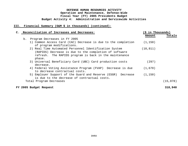| C. Reconciliation of Increases and Decreases:                                                                                                                                        | $(\hat{S}$ in Thousands) |          |
|--------------------------------------------------------------------------------------------------------------------------------------------------------------------------------------|--------------------------|----------|
|                                                                                                                                                                                      | Amount                   | Totals   |
| Program Decreases in FY 2005<br>$b$ .                                                                                                                                                |                          |          |
| 1) Common Access Card (CAC) Decrease is due to the completion<br>of program modifications.                                                                                           | (1, 150)                 |          |
| 2) Real Time Automated Personnel Identification System<br>(RAPIDS) Decrease is due to the completion of software<br>refresh. The RAPIDS program is back in the maintenance<br>phase. | (10, 811)                |          |
| 3) Universal Beneficiary Card (UBC) Card production costs<br>decrease.                                                                                                               | (297)                    |          |
| 4) Federal Voting Assistance Program (FVAP) Decrease is due<br>to decrease contractual costs.                                                                                        | (1,670)                  |          |
| 5) Employer Support of the Guard and Reserve (ESGR) Decrease<br>is due to the decrease of contractual costs.                                                                         | (1, 150)                 |          |
| Total Program Decreases                                                                                                                                                              |                          | (15,078) |
| FY 2005 Budget Request                                                                                                                                                               |                          | 318,940  |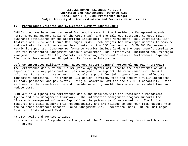### **IV. Performance Criteria and Evaluation Summary (continued):**

DHRA's programs have been reviewed for compliance with the President's Management Agenda, Performance Management Goals of the OUSD (P&R), and the Balanced Scorecard Concept (BSC) quadrants established by the Department including: Force Management Risk, Operational Risk, Institutional Risk and Future Challenges Risk. Each program has developed metrics to measure and evaluate its performance and has identified the BSC quadrant and OUSD P&R Performance Metric it supports. OUSD P&R Performance Metrics include leading the Department's compliance with the President's Management Agenda's Government-wide Initiatives, including the Strategic Management of Human Capital, Competitive Sourcing, Improved Financial Performance, Expanded Electronic Government and Budget and Performance Integration.

#### **Defense Integrated Military Human Resources System (DIMHRS) Personnel and Pay (Pers/Pay)**

The Performance goals of the DIMHRS (Pers/Pay) System will enable the transformation of all aspects of military personnel and pay management to support the requirements of the All Volunteer Force, which requires high morale, support for joint operations, and effective management decisions. The program will design, develop, test and deploy a fully integrated military personnel and pay system, using a Commercial off-the-shelf (COTS) capability, which will enable the transformation and provide superior, world class operating capabilities and reduce cost.

USD(P&R) is aligning its performance goals and measures with the President's Management Agenda and risk management framework. The information management program supports the "Strategic Management of Human Capital" as the primary performance metric. The following measures and goals support this responsibility and are related to the four risk factors from the balanced scorecard concept: Force Management Risk, Operational Risk, Future Challenges Risk, and Institutional Risk.

FY 2004 goals and metrics include:

• completing the Comprehensive Analysis of the 21 personnel and pay functional business areas;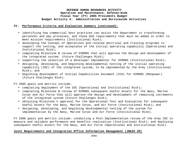### **IV. Performance Criteria and Evaluation Summary (continued):**

- identifying how commercial best practices can assist the Department in transforming personnel and pay processes, and those DoD requirements that must be added in order to meet mission requirements (Institutional Risk);
- developing the Concept of Operations and related doctrinal and training programs to support the testing, and acceptance of the initial operating capability (Operational and Institutional Risk);
- completing Milestone B review of DIMHRS that will approve the design and development of the integrated system. (Future Challenges Risk);
- supporting the selection of a Developer Implementer for DIMHRS (Institutional Risk);
- designing, developing, and beginning developmental testing of the initial operating capability (IOC) of the integrated system, to be implemented by the Army (Institutional Risk); and
- beginning development of Initial Capabilities Document (ICD) for DIMHRS (Manpower) (Future Challenges Risk).

FY 2005 goals and metrics include:

- completing deployment of the IOC (Operational and Institutional Risk);
- completing Milestone B review of DIMHRS subsequent Useful Assets for the Navy, Marine Corps and Air Force that will approve the design and development of remaining increments of the integrated system (Future Challenges Risk);
- obtaining Milestone C approval for the Operational Test and Evaluation for subsequent Useful Assets for the Navy, Marine Corps, and Air Force (Institutional Risk); and
- designing, developing, and beginning developmental testing of the system for implementation by the Navy, Marine Corps and Air Force (Institutional Risk).

FY 2006 goals and metrics include: conducting a Post-Implementation review of the Army IOC to measure and validate performance and benefits realization (Institutional Risk); and deploying subsequent Useful Assets for the Navy, and Air Force (Operational and Institutional Risk).

## **Joint Requirements and Integration Office Information Management (JR&IO IM)**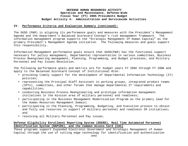### **IV. Performance Criteria and Evaluation Summary (continued):**

The OUSD (P&R) is aligning its performance goals and measures with the President's Management Agenda and the Department's Balanced Scorecard Concept's risk management framework. The information management program supports the "Strategic Management of Human Capital" as the primary President's Management Agenda initiative. The following measures and goals support this responsibility.

Information Management performance goals ensure that OUSD(P&R) has the functional support necessary for policy management, Departmental representation in various committees, Business Process Reengineering management, Planning, Programming, and Budget processes, and Military Personnel and Pay Issues Resolution.

The following performance goals and metrics are for budget years FY 2004 through FY 2006 and apply to the Balanced Scorecard Concept of Institutional Risk:

- providing timely support for the development of Departmental Information Technology (IT) policies;
- representing the Principal Staff Assistant in working groups, integrated product teams (IPTs), committees, and other forums that manage departmental IT requirements and capabilities;
- conducting Business Process Reengineering and prototype information management initiatives in the mission area of military personnel and readiness;
- participating in the Business Management Modernization Program as the primary lead for the Human Resources Management Domain;
- participating in the Planning, Programming, Budgeting, and Execution process to obtain and fully use resources in support of military personnel and readiness IM initiatives; and
- resolving all Military Personnel and Pay issues.

# **Defense Eligibility Enrollment Reporting System (DEERS), Real Time Automated Personnel Identification System (RAPIDS), and the Common Access Card (CAC)**

These programs support Expanded Electronic Government and Strategic Management of Human Capital through the use of cutting edge technology for identification and authentication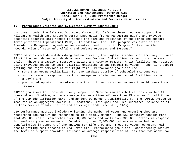### **IV. Performance Criteria and Evaluation Summary (continued):**

purposes. Under the Balanced Scorecard Concept for Defense these programs support the Military's Health Care System's performance goals (Force Management Risk), and provide essential accurate data needed to assess the size and readiness of the Force and support force protection (Operational Risk). In addition, the DEERS program was cited in the President's Management Agenda as an essential contributor to Program Initiative #14 "Coordination of Veteran's Affairs and Defense Programs and Systems."

DEERS metrics include establishing and maintaining the highest standards of accuracy for over 23 million records and worldwide access times for over 2.4 million transactions processed daily. These transactions represent active and Reserve members, their families, and retirees being provided access to their eligible entitlements and medical services -- the right people getting the right services at the right time. Performance goals include:

- more than 99.5% availability for the database outside of scheduled maintenance;
- sub two second response time to coverage and claim queries (about 2 million transactions a day); and
- posting of updated information from the uniformed services no more than 24 hours from receipt.

RAPIDS goals are to: provide timely support of Service member mobilizations – within 24 hours of notification; achieve average issuance times of less than 15 minutes for all forms of the DoD Identification card; and achieve 97 percent availability for the RAPIDS system as measured as an aggregate across all locations. This goal includes sustained issuance of all Uniform Service Identification and Privilege cards (including CACs).

DSO performance metrics include monitoring the number of cases and ensuring they are researched accurately and responded to in a timely manner. The DSO annually handles more that 600,000 calls, researches over 50,000 cases and mails over 325,000 letters in response to beneficiary correspondence. In addition, over 2,000,000 letters were mailed to beneficiaries in support of the TRICARE For Life program. These services represent real people getting real answers to real problems. Performance goals are: consistently measure the level of support provided; maintain an average response time of less than two weeks for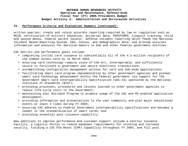### **IV. Performance Criteria and Evaluation Summary (continued):**

written queries; create and retain accurate reporting required by law or regulation such as MGIB, verification of military education, actuarial data, PERSTEMPO, linguist tracking, child and spouse abuse, federal parent locator, Defense incident reporting which feeds the National Incident Based Reporting System, EEO, Census, and demographics data; and provide accurate information and analysis for decision makers in DoD and other federal government entities.

CAC metrics and performance goals include:

- completing initial card issuance to substantially all of the 4.5 million recipients of the Common Access Card by 31 March 2004;
- ensuring card technology remains state-of-the-art, interoperable, and sufficiently secure to facilitate e-government and secure electronic transactions;
- accomplishing configuration management actions for card and DoD-wide applications;
- facilitating smart card program implementation by other government agencies and pioneer smart card technology advancement within the Federal government via support for the Government Smart Card Interoperability Specification (GSC-IS) sponsored by the National Institute of Standards (NIST);
- providing processes, procedures and lessons learned to other government agencies to reduce life-cycle costs to the Government;
- maintaining User Outreach Program to promote usage of the CAC and PK-enabled application development;
- providing information and presentations to the user community and plan major educational events at least 4 times during FY 2004;
- ensuring CAC adheres to Federal Government interoperability specifications and becomes a leader in the standardization of smart cards; and
- providing essential post-issuance capability.

New additions to improve performance and customer support include a Central Issuance Facility, a Logistic Portal to reduce manpower requirements for stocking and increase security, fielding a CAC PIN Reset (CPR) capability throughout FY 2004, and full post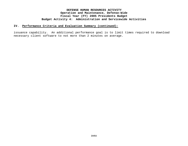### **IV. Performance Criteria and Evaluation Summary (continued):**

issuance capability. An additional performance goal is to limit times required to download necessary client software to not more than 2 minutes on average.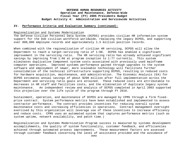#### **IV. Performance Criteria and Evaluation Summary (continued):**

#### Regionalization and Systems Modernization

The Defense Civilian Personnel Data System (DCPDS) provides civilian HR information system support for the DoD civilian workforce worldwide, replacing the legacy DCPDS, and supporting over 800,000 employee records and approximately 1.5 million position records.

When combined with the regionalization of civilian HR servicing, DCPDS will allow the Department to reach a target-servicing ratio of 1:88. DCPDS has enabled a significant improvement in the servicing ratio. The HR servicing ratio has already achieved significant savings by improving from 1:66 at program inception to 1:77 currently. This system eliminates duplicative Component system costs associated with previously used mainframe computer operations. Improved systems performance gained through upgrades to the system software and employment of newer, more scaleable technology will facilitate further consolidation of the technical infrastructure supporting DCPDS, resulting in reduced costs for hardware acquisition, maintenance, and administration. The Economic Analysis (EA) for DCPDS estimates annual savings of about \$200 million after full implementation across the Department and servicing ratio goals are attained. These reduced costs are attributable to decreases in HR staff and facilities costs, and the elimination of duplicate legacy system maintenance. An independent review and analysis of DCPDS completed in April 2003 supported this projection over the life cycle of the program through FY 2010.

Sustainment, operation, and maintenance of DCPDS are managed by CPMS through a firm fixedprice contract. System performance metrics have been established and implemented to assess contractor performance. The contract provides incentives for reducing overall system maintenance costs and increasing efficiencies in operations. Contract management oversight exercised by this organization will leverage use of these incentives to increase efficiency and reduce costs. CPMS uses an automated system that captures performance metrics (such as system uptime, network availability, and patch time.)

Regionalization and Systems Modernization Program success is measured by systems development accomplishments, the quality of system functionality, customer feedback, and efficiencies achieved through automated process improvements. These measurement factors are assessed through customer feedback concerning the level of assistance provided and the avoidance of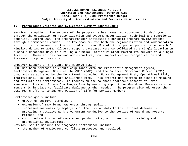### **IV. Performance Criteria and Evaluation Summary (continued):**

service disruption. The success of the program is best measured subsequent to deployment through the evaluation of regionalization and systems modernization technical and functional benefits. During 2003, the program manager instituted a periodic program review process through a commercial vendor. The key measure, for both the regionalization and modernization efforts, is improvement in the ratio of civilian HR staff to supported population across DoD. Finally, during FY 2003, all Army support databases were consolidated at a single location on a single database; Navy is pursuing a similar initiative after moving its servers to a single location. These actions portend additional regional support center reorganization and increased component savings.

### Employer Support of the Guard and Reserve (ESGR)

ESGR has been reviewed to ensure compliance with the President's Management Agenda, Performance Management Goals of the OUSD (P&R), and the Balanced Scorecard Concept (BSC) quadrants established by the Department including: Force Management Risk, Operational Risk, Institutional Risk and Future Challenges Risk. This program has metrics in place to measure and evaluate its performance. It focuses on the balanced scorecard concept of Force Management Risk and Future Challenges Risk by ensuring support for Guard and Reserve service members is in place to facilitate deployments when needed. The program also addresses the OUSD P&R's efforts to improve Quality of Life for Service members.

Performance goals include:

- growth of employer commitment;
- expansion of ESGR brand awareness through polling;
- increased awareness by employers of their vital duty to the national defense by providing a positive work environment conducive to the service of Guard and Reserve members; and
- continued monitoring of morale and productivity, and investing in training and professional development.

Metrics used to measure the program's performance include:

• the number of employment conflicts processed and resolved;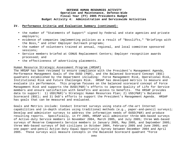### **IV. Performance Criteria and Evaluation Summary (continued):**

- the number of "Statements of Support" signed by Federal and state agencies and private employers;
- evidence of companies implementing policies as a result of "Bosslifts," "Briefings with the Boss," and other Employer Outreach programs;
- the number of volunteers trained at annual, regional, and local committee sponsored sessions;
- Service members briefed at CONUS Replacement Centers; Employer recognition awards processed; and
- the effectiveness of advertising placements.

### Human Resource Strategic Assessment Program (HRSAP)

The HRSAP has been reviewed to ensure compliance with the President's Management Agenda, Performance Management Goals of the OUSD (P&R), and the Balanced Scorecard Concept (BSC) quadrants established by the Department including: Force Management Risk, Operational Risk, Institutional Risk and Future Challenges Risk. HRSAP has developed metrics to measure and evaluate its performance. This program focuses on the balanced scorecard concept of Force Management Risk and supports the OUSD(P&R)'s efforts to improve Quality of Life for Service members and ensure satisfaction with benefits and access to benefits. The HRSAP provides data to support: 1) USD(P&R)'s Strategic Human Resources Plan; 2) USD(P&R)'s Balanced Scorecard (BSC); and 3) DoD's efforts to support the President's Management Agenda. HRSAP has goals that can be measured and evaluated.

Goals and Metrics include: Conduct Internet surveys using state-of-the-art Internet capabilities and in-depth studies using traditional methods (e.g., paper-and-pencil surveys); Develop and administer surveys to address the information needs of OUSD(P&R) and produce resulting reports. Specifically, in FY 2005, HRSAP will administer three Web-based surveys of Active-duty Service members in November 2004, March 2005, and July 2005; three Web-based surveys of Reserve Components Service members in January 2005, May 2005, and September 2005; three Web-based surveys of DoD civilians in October 2004, February 2005 and June 2005; and one paper-and-pencil Active-Duty Equal Opportunity Survey between December 2004 and April 2005. These surveys will measure concepts in the Balanced Scorecard quadrant "Force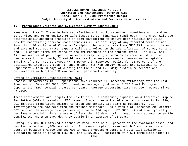#### **IV. Performance Criteria and Evaluation Summary (continued):**

Management Risk." These include satisfaction with work, retention intentions and commitment to service, and other quality of life issues (e.g., financial readiness). The HRSAP will use scientifically accepted practices in item development to ensure both reliable and valid results—maintaining internal consistency (i.e., reliability) of any reported scale at not less that .70 in terms of Chronbach's alpha. Representatives from OUSD(P&R) policy offices and external subject matter experts will be involved in the identification of survey content and will ensure items are state-of-the-art measures of the content areas. The HRSAP will: 1) draw samples of participants for each survey using a technically accepted stratified random sampling approach; 2) weight samples to ensure representativeness and acceptable margins of error-not to exceed  $+/-$  5 percent-in reported results for 90 percent of preestablished interest groups; 3) ensure data from Web-survey results are available to the Department within 90 days of closing the field; and 4) widely distribute reports and deliverables within the DoD manpower and personnel community.

#### Office of Complaint Investigations (OCI)

Process improvements in OCI operations have resulted in increased efficiency over the last four years. Since FY 2000, OCI closed, on average, just under 3,700 Equal Employment Opportunity (EEO) complaint cases per year. Average processing time has been reduced since FY 2000.

These achievements are largely the result of OCI's continuing emphasis on Alternative Dispute Resolution (ADR) in resolving EEO cases. Since it established a mediation team in FY 1999, OCI invested significant dollars to train and certify its staff as mediators. OCI Investigators are now certified and trained mediators. As a result of increased ADR efforts, OCI reduced the average case processing time to 124 days in FY 2003. A mediator typically resolves a complaint in an average of less than 55 days. All investigators attempt to settle complaints, and when they do, they settle in an average of 76 days.

During FY 2003, OCI offered alternative resolution on 100 percent of the available cases, and resolved more than 1,000 complaints. For every complaint resolved, DoD avoids estimated costs of between \$40,000 and \$80,000 in case processing costs and potential additional litigation costs of between \$161,000 and \$310,000. Resolution of 4,621 complaints since FY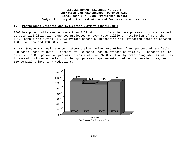### **IV. Performance Criteria and Evaluation Summary (continued):**

2000 has potentially avoided more than \$277 million dollars in case processing costs, as well as potential litigation expenses projected at over \$1.0 billion. Resolution of more than 1,108 complaints during FY 2003 avoided potential processing and litigation costs of between \$66.0 million and \$260.0 million.

In FY 2005, OCI's goals are to: attempt alternative resolution of 100 percent of available EEO cases; resolve over 50 percent of EEO cases; reduce processing time by 10 percent to 112 days; avoid DoD potential processing costs of over \$200 million by practicing ADR; as well as to exceed customer expectations through process improvements, reduced processing time, and EEO complaint inventory reductions.



**All Cases OCI Average Case Processing Times**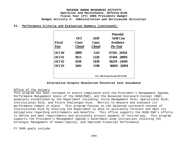|  |  |  |  |  |  | IV. Performance Criteria and Evaluation Summary (continued): |
|--|--|--|--|--|--|--------------------------------------------------------------|
|--|--|--|--|--|--|--------------------------------------------------------------|

| <b>Fiscal</b> | <i>OCI</i><br><b>Cases</b> | <b>ADR</b><br><b>Cases</b> | <b>ADR</b> Cost<br><i>Avoidance</i> |
|---------------|----------------------------|----------------------------|-------------------------------------|
| Year          | <b>Closed</b>              | <b>Closed</b>              | <b>Per Year</b>                     |
| <b>OCI</b> 00 | 3899                       | 1247                       | $$75M - 293M$                       |
| <b>OCI</b> 01 | 3913                       | 1228                       | \$74M - 289M                        |
| <b>OCI</b> 02 | 3430                       | 1038                       | $$62M - 244M$                       |
| <b>OCI</b> 03 | 3401                       | 1108                       | $$66M - 260M$                       |

### **Alternative Dispute Resolution Potential Cost Avoidance**

#### Office of the Actuary

This program has been reviewed to ensure compliance with the President's Management Agenda, Performance Management Goals of the OUSD(P&R), and the Balanced Scorecard Concept (BSC) quadrants established by the Department including: Force Management Risk, Operational Risk, Institutional Risk, and Future Challenges Risk. Metrics to measure and evaluate its performance remain in place. This program focuses on the balanced scorecard concept of Institutional Risk by ensuring the Department is able to accurately forecast and meet its obligations regarding entitlements and benefits. This office supports the OUSD P&R's efforts to define and meet requirements and accurately project payment of retired pay. This program supports the President's Management Agenda's Government-wide Initiatives involving the Strategic Management of Human Capital, and Improved Financial Performance.

FY 2005 goals include: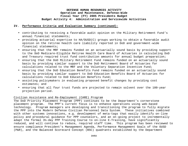### **IV. Performance Criteria and Evaluation Summary (continued):**

- contributing to receiving a favorable audit opinion on the Military Retirement Fund's annual financial statements;
- providing actuarial expertise to HA/OUSD(C) groups working to obtain a favorable audit opinion on the retiree health care liability reported in DoD and government-wide financial statements;
- ensuring that the MRF remains funded on an actuarially sound basis by providing support to the DoD Medicare-Eligible Retiree Health Care Board of Actuaries in calculating DoD and Treasury required trust fund contribution amounts for annual budget preparation;
- ensuring that the DoD Military Retirement Fund remains funded on an actuarially sound basis by providing similar support to the DoD Retirement Board of Actuaries for calculations related to the MRF and the Voluntary Separation Incentive Fund;
- ensuring that the DoD Education Benefits Fund remains funded on an actuarially sound basis by providing similar support to DoD Education Benefits Board of Actuaries for calculations related to DoD Education Benefits Fund;
- assisting policymakers in evaluating proposed benefit changes by providing cost estimates; and
- ensuring that all four trust funds are projected to remain solvent over the 100-year projection period.

### Civilian Assistance and Re-Employment (CARE) Program

The DoD Priority Placement Program (PPP) continues to be the Department's cornerstone placement program. The PPP's current focus is to enhance operations using web-based technology. Program managers are developing and transitioning the program to fully migrate the PPP into the Modern Defense Civilian Personnel Data System. These initiatives combined with other systems innovations, e.g. development of meta-tags that easily identify on-line policy and procedural guidance for PPP counselors, and an on-going project to incrementally adapt the formal 3½-day PPP Training Course to on-line E-Training, have significantly reduced, and will continue to reduce, required staff time. This program has been reviewed to ensure compliance President's Management Agenda, Performance Management Goals of the OUSD (P&R), and the Balanced Scorecard Concept (BSC) quadrants established by the Department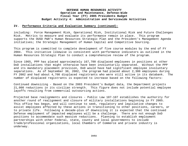### **IV. Performance Criteria and Evaluation Summary (continued):**

including: Force Management Risk, Operational Risk, Institutional Risk and Future Challenges Risk. Metrics to measure and evaluate its performance remain in place. This program supports the OUSD P&R's Human Resources Strategic Plan and the President's Management Agenda initiatives; the Strategic Management of Human Capital and Competitive Sourcing.

This program is committed to complete development of five course modules by the end of FY 2004. This initiative likewise is consistent with performance indicators as outlined in the Human Resources Strategic Plan to conduct a comprehensive review of the program.

Since 1965, PPP has placed approximately 167,700 displaced employees in positions at other DoD installations that might otherwise have been involuntarily separated. Without the PPP and its mandatory placement provision, DoD would have had significant employee involuntary separations. As of September 30, 2002, the program had placed about 2,300 employees during FY 2002 and had about 4,700 displaced registrants who were still active in its databank. The number of displaced registrants is expected to increase based on the following factors:

Continued downsizing - Based on the 2003 President's Budget data, the Department projects 21,000 reductions in its civilian strength. This figure does not include potential employee layoffs resulting from commercial outsourcing actions.

Projected base realignments and closures - Public Law 107-107 establishes the authority for another round of realignment and closure of military installations beginning in FY 2005. This office has begun, and will continue to seek, regulatory and legislative changes to assist employees affected by these actions in transitioning to other positions, careers, or to private life. Following a decade-plus of downsizing it is expected that the continued Defense employment of impacted employees will be a challenge. There are not enough DoD positions to accommodate such massive reductions. Planning to establish employment partnerships with other Federal, state, county and local governments to include trade/professional organizations, local Chambers of Commerce and private industry is underway.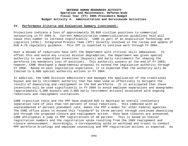### **IV. Performance Criteria and Evaluation Summary (continued):**

Projections indicate a loss of approximately 20,000 civilian positions to commercial outsourcing in FY 2004-5. Current Administration commercialization guidelines hold will cause this number to increase significantly. CARE is part of an Acquisition Technology and Logistics (AT&L), Integrated Process Team (IPT) directly involved in the review and update of DoD A-76 regulatory guidance. This IPT is expected to continue work through FY 2004.

Over a decade of reductions have left the Department with critical skill imbalances. To offset this and avoid any crucial mission degradation, the Department was given special authority to use separation incentives (buyouts) and early retirements for shaping the workforce (no mandatory loss of position). This authority sunsets at the end of FY 2003; however, CARE developed a departmental proposal to extend the legislative authority through FY 2006. Based on past legislative experience, it is expected that the authority will be limited to 6,000 special authority actions in FY 2004.

In addition, the CARE Division administers and manages the application of the traditional buyout and early retirement authority that has been used so effectively to mitigate the results of downsizing and realignment on the DoD workforce. It is anticipated that these incentives will be used significantly in FY 2004 to avoid employee separations and downgrades (approximately 5,000 buyouts and 2,000 early retirement actions) associated with ongoing reductions and realignment initiatives.

CARE transition tools and the PPP have enabled DoD to maintain an overall involuntary separation rate of less than ten percent of total reductions. This combined with an unprecedented 47 percent placement rate, makes the PPP a model for other Federal agencies. The CARE office plans to exceed this "standard" by three percent through continued downsizing and through the proposed closure and realignment action. Once base closures are announced, CARE anticipates a jump in PPP registrations of 40 percent. This is based on similar registration numbers and the registration spike resulting from the 1989 realignment and closure announcement. Accordingly, a corresponding spike in workload and travel to conduct PPP workforce briefings and employee counseling and PPP registration actions is expected. As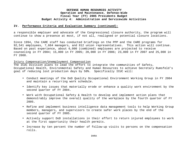### **IV. Performance Criteria and Evaluation Summary (continued):**

a responsible employer and advocate of the Congressional closure authority, the program will continue to show a presence at most, if not all, realigned or potential closure locations.

Since 1994, the CARE staff has conducted briefings on the PPP and the CARE programs for 92,541 employees, 7,664 managers, and 812 union representatives. This action will continue. Based on past experience, about 6,000 (combined) employees are projected to receive counseling in FY 2004; 15,000 in FY 2005; 20,000 in FY 2006; 23,000 in FY 2007 and 25,000 in FY 2008.

Injury Compensation/Unemployment Compensation

The ICUC Division plans to lead the effort to integrate the communities of Safety, Occupational Health, Environmental Safety and Human Resources to achieve Secretary Rumsfeld's goal of reducing lost production days by 50%. Specifically ICUC will:

- Conduct meetings of the DoD Quality Occupational Environment Working Group in FY 2004 and maintain a recurring work schedule.
- Identify key issues that materially erode or enhance a quality work environment by the second quarter of FY 2004.
- Work with Occupational Safety & Health to develop and implement action plans that demonstrably improve the overall quality of the workplace by the fourth quarter of FY 2005.
- Refine and implement business intelligence data management tools to help Working Group members, managers, and supervisors to create safer work places by the end of the second quarter of FY 2005.
- Actively support DoD installations in their effort to return injured employees to work at the first opportunity their health permits.
- Increase by ten percent the number of follow-up visits to persons on the compensation rolls.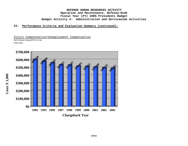### **IV. Performance Criteria and Evaluation Summary (continued):**

Injury Compensation/Unemployment Compensation

DoD Inflation-Adjusted FECA Costs (1994=100)

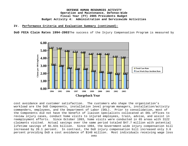#### **IV. Performance Criteria and Evaluation Summary (continued):**

**DoD FECA Claim Rates 1994-2003**The success of the Injury Compensation Program is measured by



cost avoidance and customer satisfaction. The customers who shape the organization's workload are the DoD Components, installation level program managers, installation/activity commanders, employees, and the Department of Labor (DOL). Prior to consolidation, most of the Components did not have the benefit of liaison specialists collocated at DOL offices to review injury cases, conduct home visits to injured employees, train, advise, and assist in reemployment efforts. Since October 1993, home visits were conducted in 65 areas with 3122 claimants visited. Actual savings over the same period totaled \$47.7 million with potential lifetime savings of \$1.631 billion. Since 1994, the Government-wide injury compensation bill increased by 28.1 percent. In contrast, the DoD injury compensation bill increased only 3.6 percent providing DoD a cost avoidance of \$148 million. Most individuals receiving wage loss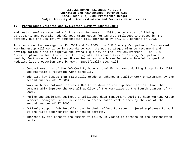### **IV. Performance Criteria and Evaluation Summary (continued):**

and death benefits received a 2.4 percent increase in 2003 due to a cost of living adjustment, and overall Federal government costs for injured employees increased by 4.7 percent, but the DoD injury compensation bill increased by only 1.3 percent in 2003.

To ensure similar savings for FY 2004 and FY 2005, the DoD Quality Occupational Environment Working Group will continue in accordance with the DoD Strategic Plan to recommend and develop action plans to improve the overall quality of the work environment. The ICUC Division plans to lead the effort to integrate the communities of Safety, Occupational Health, Environmental Safety and Human Resources to achieve Secretary Rumsfeld's goal of reducing lost production days by 50%. Specifically ICUC will:

- Conduct meetings of the DoD Quality Occupational Environment Working Group in FY 2004 and maintain a recurring work schedule.
- Identify key issues that materially erode or enhance a quality work environment by the second quarter of FY 2004.
- Work with Occupational Safety & Health to develop and implement action plans that demonstrably improve the overall quality of the workplace by the fourth quarter of FY 2005.
- Refine and implement business intelligence data management tools to help Working Group members, managers, and supervisors to create safer work places by the end of the second quarter of FY 2005.
- Actively support DoD installations in their effort to return injured employees to work at the first opportunity their health permits.
- Increase by ten percent the number of follow-up visits to persons on the compensation rolls.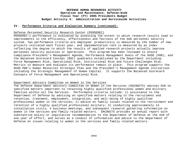#### **IV. Performance Criteria and Evaluation Summary (continued):**

#### Defense Personnel Security Research Center (PERSEREC)

PERSEREC's performance is evaluated by assessing the extent to which research results lead to improvements in the efficiency, effectiveness and fairness of the DoD personnel security system. Two performance criteria are employed: productivity is measured by the number of new projects initiated each fiscal year, and implementation rate is measured by an index reflecting the degree to which the results of applied research projects actually improve personnel security policies or operations. This program has been reviewed to ensure compliance President's Management Agenda, Performance Management Goals of the OUSD (P&R), and the Balanced Scorecard Concept (BSC) quadrants established by the Department including: Force Management Risk, Operational Risk, Institutional Risk and Future Challenges Risk. Metrics to measure and evaluate its performance remain in place. This program supports the OUSD P&R's Human Resources Strategic Plan and the President's Management Agenda initiatives including the Strategic Management of Human Capital. It supports the Balanced Scorecard Concepts of Force Management and Operational Risk.

#### Department Advisory Committee on Women in the Services

The Defense Department Advisory Committee on Women in the Services (DACOWITS) advises DoD on specified matters important to retaining highly qualified professional women and military families within all the Services. Performance criteria include: 1) assistance to the Department of Defense by advising on specified matters relating to the recruitment and retention, treatment, employment, integration, and well-being of highly qualified professional women in the services; 2) advice on family issues related to the recruitment and retention of a highly qualified professional military; 3) conducting approximately 14 installation visits, 4 business meetings, and subsequent research gathering information on women in the services and family related matters. DACOWITS provides an annual report with substantive policy or legislative recommendation to the Department of Defense at the end of one year of effort, and serves as a conduit of information and advice to the Department of Defense on issues relating to women in the services and family related matters.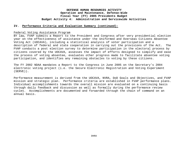#### **IV. Performance Criteria and Evaluation Summary (continued):**

#### Federal Voting Assistance Program

BY law, FVAP submits a Report to the President and Congress after very presidential election year on the effectiveness of assistance under the Uniformed and Overseas Citizens Absentee Voting Act (UOCAVA), including a statistical analysis of voter participation and a description of federal and state cooperation in carrying out the provisions of the Act. The FVAP conducts a post election survey to determine participation in the electoral process by citizens covered by the UOCAVA, assesses the impact of efforts designed to simplify and ease the process of voting absentee, evaluates other progress made to facilitate absentee voting participation, and identifies any remaining obstacles to voting by these citizens.

The FY 2002 NDAA mandates a Report to the Congress in June 2005 on the Secretary's 2004 electronic voting project (i.e. the Secure Electronic Registration and Voting Experiment (SERVE)).

Performance measurement is derived from the UOCAVA, NVRA, DoD Goals and Objectives, and FVAP mission and strategic plan. Performance criteria are established in FVAP performance plans. Individual accomplishments towards the overall mission are evaluated on a continuing basis through daily feedback and discussion as well as formally during the performance review cycles. Accomplishments are documented and forwarded through the chain of command on an annual basis.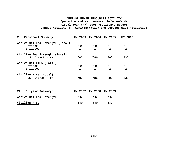| Personnel Summary:<br>v.                               | <b>FY 2003</b>     | FY 2004            | FY 2005              | FY 2006              |
|--------------------------------------------------------|--------------------|--------------------|----------------------|----------------------|
| Active Mil End Strength (Total)<br>Officer<br>Enlisted | 10<br>1            | 10<br>$\mathbf{1}$ | 14<br>2              | 14<br>$\overline{2}$ |
| Civilian End Strength (Total)<br>U.S. Direct Hire      | 702                | 786                | 807                  | 830                  |
| Active Mil FTEs (Total)<br>Officer<br>Enlisted         | 10<br>$\mathbf{1}$ | 10<br>$\mathbf{1}$ | 14<br>$\overline{2}$ | 14<br>$\overline{2}$ |
| Civilian FTES (Total)<br>U.S. Direct Hire              | 702                | 786                | 807                  | 830                  |
| Outyear Summary:<br>VI.                                | FY 2007            | FY 2008            | FY 2009              |                      |
| Active Mil End Strength                                | 16                 | 16                 | 16                   |                      |
| Civilian FTES                                          | 839                | 839                | 839                  |                      |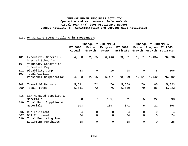# **VII. OP 32 Line Items (Dollars in Thousands):**

|            |                                          | Change FY 2003/2004 |                 |                   | Change FY 2004/2005 |                 |             |                                   |
|------------|------------------------------------------|---------------------|-----------------|-------------------|---------------------|-----------------|-------------|-----------------------------------|
|            |                                          | FY 2003<br>Actual   | Price<br>Growth | Program<br>Growth | FY 2004<br>Estimate | Price<br>Growth | Program     | <b>FY 2005</b><br>Growth Estimate |
|            |                                          |                     |                 |                   |                     |                 |             |                                   |
| 101        | Executive, General &<br>Special Schedule | 64,550              | 2,005           | 6,446             | 73,001              | 1,661           | 1,434       | 76,096                            |
| 107        | Voluntary Separation<br>Incentive Pay    |                     |                 |                   |                     |                 |             |                                   |
| 111<br>199 | Disability Comp<br>Total Civilian        | 83                  | $\Omega$        | 15                | 98                  | $\overline{0}$  | 8           | 106                               |
|            | Personnel Compensation                   | 64,633              | 2,005           | 6,461             | 73,099              | 1,661           | 1,442       | 76,202                            |
| 308        | Travel Of Persons                        | 5,511               | 72              | 76                | 5,659               | 79              | 85          | 5,823                             |
| 399        | Total Travel                             | 5,511               | 72              | 76                | 5,659               | 79              | 85          | 5,823                             |
| 416        | GSA Managed Supplies &                   |                     |                 |                   |                     |                 |             |                                   |
| 499        | Materials<br>Total Fund Supplies &       | 503                 | 7               | (139)             | 371                 | 5               | 22          | 398                               |
|            | Materials                                | 503                 | 7               | (139)             | 371                 | 5               | 22          | 398                               |
| 506        | DLA Equipment                            | 4                   | 0               | $\mathsf{O}$      | 4                   | 0               | 0           | $\overline{4}$                    |
| 507<br>599 | GSA Equipment<br>Total Revolving Fund    | 24                  | $\mathbf 0$     | $\overline{0}$    | 24                  | $\mathbf 0$     | $\mathbf 0$ | 24                                |
|            | Equipment Purchases                      | 28                  | $\Omega$        | $\overline{0}$    | 28                  | $\Omega$        | $\mathbf 0$ | 28                                |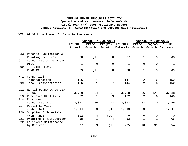### **VII. OP 32 Line Items (Dollars in Thousands):**

|     |                         | Change FY 2003/2004 |              |                | Change FY 2004/2005 |                |              |                 |
|-----|-------------------------|---------------------|--------------|----------------|---------------------|----------------|--------------|-----------------|
|     |                         | FY 2003             | Price        | Program        | <b>FY 2004</b>      | Price          | Program      | <b>FY 2005</b>  |
|     |                         | Actual              | Growth       | Growth         | Estimate            | Growth         |              | Growth Estimate |
| 633 | Defense Publication &   |                     |              |                |                     |                |              |                 |
|     | Printing Services       | 68                  | (1)          | $\overline{0}$ | 67                  | $\mathbf 1$    | $\mathsf{O}$ | 68              |
| 671 | Communication Services  |                     |              |                |                     |                |              |                 |
|     | <b>DISA</b>             | $\mathbf 1$         | $\mathbf 0$  | $\overline{0}$ | $\mathbf{1}$        | 0              | $\mathbf 0$  | $\mathbf{1}$    |
| 699 | TOT OTHER FUND          |                     |              |                |                     |                |              |                 |
|     | <b>PURCHASES</b>        | 69                  | (1)          | $\overline{0}$ | 68                  | $\mathbf 1$    | $\mathsf{O}$ | 69              |
| 771 | Commercial              |                     |              |                |                     |                |              |                 |
|     | Transportation          | 136                 | 1            | 7              | 144                 | 2              | 6            | 152             |
| 799 | Total Transportation    | 136                 | $\mathbf{1}$ | 7              | 144                 | $\overline{2}$ | 6            | 152             |
| 912 | Rental payments to GSA  |                     |              |                |                     |                |              |                 |
|     | (SLUC)                  | 3,780               | 64           | (136)          | 3,708               | 56             | 124          | 3,888           |
| 913 | Purchased Utilities     | 72                  | $\mathbf{1}$ | 59             | 132                 | 2              | 6            | 140             |
| 914 | Purchased               |                     |              |                |                     |                |              |                 |
|     | Communications          | 2,311               | 30           | 12             | 2,353               | 33             | 70           | 2,456           |
| 917 | Postal Service          |                     |              |                |                     |                |              |                 |
|     | (U.S.P.S.)              | 1,044               | 0            | (4)            | 1,040               | $\mathbf 0$    | $\mathbf{1}$ | 1,041           |
| 920 | Supplies & Materials    |                     |              |                |                     |                |              |                 |
|     | (Non Fund)              | 612                 | 8            | (620)          | $\overline{0}$      | $\overline{0}$ | 0            | $\Omega$        |
| 921 | Printing & Reproduction | 58                  | $\mathbf 1$  | 4              | 63                  | 1              | $\mathbf{1}$ | 65              |
| 922 | Equipment Maintenance   |                     |              |                |                     |                |              |                 |
|     | by Contract             | 697                 | 9            | (1)            | 705                 | 10             | 39           | 754             |